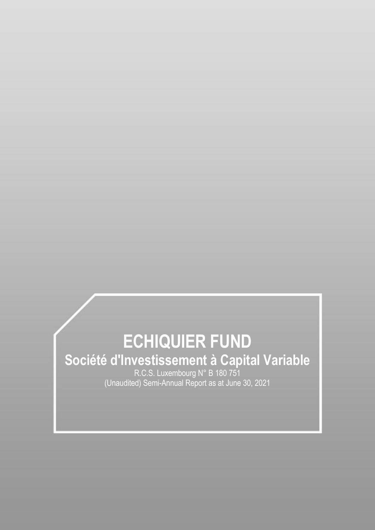# **ECHIQUIER FUND Société d'Investissement à Capital Variable** R.C.S. Luxembourg N° B 180 751

(Unaudited) Semi-Annual Report as at June 30, 2021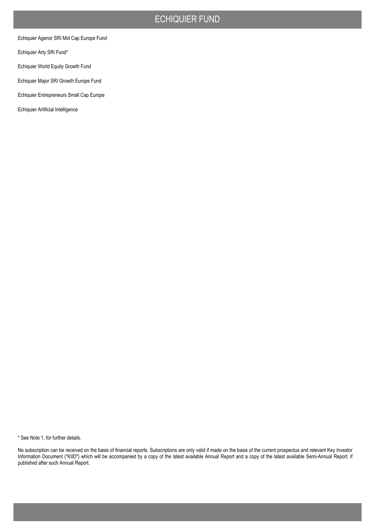Echiquier Agenor SRI Mid Cap Europe Fund

Echiquier Arty SRI Fund\*

Echiquier World Equity Growth Fund

Echiquier Major SRI Growth Europe Fund

Echiquier Entrepreneurs Small Cap Europe

Echiquier Artificial Intelligence

\* See Note 1, for further details.

No subscription can be received on the basis of financial reports. Subscriptions are only valid if made on the basis of the current prospectus and relevant Key Investor Information Document ("KIID") which will be accompanied by a copy of the latest available Annual Report and a copy of the latest available Semi-Annual Report, if published after such Annual Report.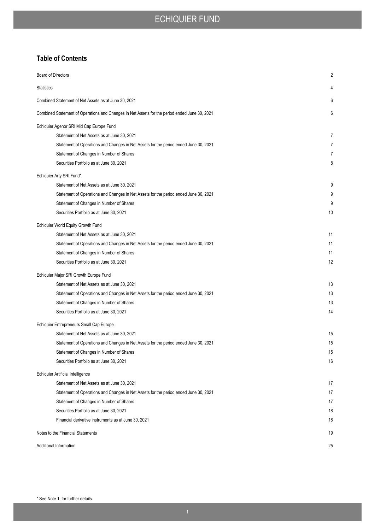## **Table of Contents**

| <b>Board of Directors</b>                                                                     | 2              |
|-----------------------------------------------------------------------------------------------|----------------|
| <b>Statistics</b>                                                                             | 4              |
| Combined Statement of Net Assets as at June 30, 2021                                          | 6              |
| Combined Statement of Operations and Changes in Net Assets for the period ended June 30, 2021 | 6              |
| Echiquier Agenor SRI Mid Cap Europe Fund                                                      |                |
| Statement of Net Assets as at June 30, 2021                                                   | 7              |
| Statement of Operations and Changes in Net Assets for the period ended June 30, 2021          | $\overline{7}$ |
| Statement of Changes in Number of Shares                                                      | 7              |
| Securities Portfolio as at June 30, 2021                                                      | 8              |
| Echiquier Arty SRI Fund*                                                                      |                |
| Statement of Net Assets as at June 30, 2021                                                   | 9              |
| Statement of Operations and Changes in Net Assets for the period ended June 30, 2021          | 9              |
| Statement of Changes in Number of Shares                                                      | 9              |
| Securities Portfolio as at June 30, 2021                                                      | 10             |
| Echiquier World Equity Growth Fund                                                            |                |
| Statement of Net Assets as at June 30, 2021                                                   | 11             |
| Statement of Operations and Changes in Net Assets for the period ended June 30, 2021          | 11             |
| Statement of Changes in Number of Shares                                                      | 11             |
| Securities Portfolio as at June 30, 2021                                                      | 12             |
| Echiquier Major SRI Growth Europe Fund                                                        |                |
| Statement of Net Assets as at June 30, 2021                                                   | 13             |
| Statement of Operations and Changes in Net Assets for the period ended June 30, 2021          | 13             |
| Statement of Changes in Number of Shares                                                      | 13             |
| Securities Portfolio as at June 30, 2021                                                      | 14             |
| Echiquier Entrepreneurs Small Cap Europe                                                      |                |
| Statement of Net Assets as at June 30, 2021                                                   | 15             |
| Statement of Operations and Changes in Net Assets for the period ended June 30, 2021          | 15             |
| Statement of Changes in Number of Shares                                                      | 15             |
| Securities Portfolio as at June 30, 2021                                                      | 16             |
| Echiquier Artificial Intelligence                                                             |                |
| Statement of Net Assets as at June 30, 2021                                                   | 17             |
| Statement of Operations and Changes in Net Assets for the period ended June 30, 2021          | 17             |
| Statement of Changes in Number of Shares                                                      | 17             |
| Securities Portfolio as at June 30, 2021                                                      | 18             |
| Financial derivative instruments as at June 30, 2021                                          | 18             |
| Notes to the Financial Statements                                                             | 19             |
| Additional Information                                                                        | 25             |
|                                                                                               |                |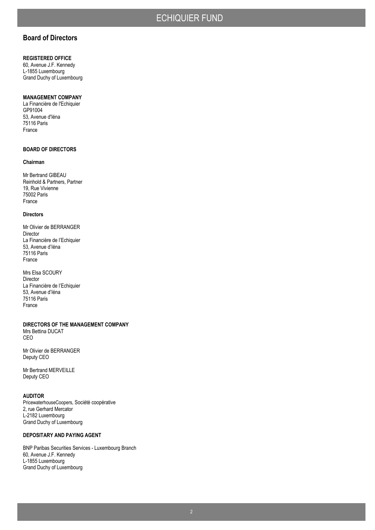## **Board of Directors**

#### **REGISTERED OFFICE**

60, Avenue J.F. Kennedy L-1855 Luxembourg Grand Duchy of Luxembourg

#### **MANAGEMENT COMPANY**

La Financière de l'Echiquier GP91004 53, Avenue d'Iéna 75116 Paris France

#### **BOARD OF DIRECTORS**

#### **Chairman**

Mr Bertrand GIBEAU Reinhold & Partners, Partner 19, Rue Vivienne 75002 Paris France

#### **Directors**

Mr Olivier de BERRANGER Director La Financière de l'Echiquier 53, Avenue d'Iéna 75116 Paris France

Mrs Elsa SCOURY Director La Financière de l'Echiquier 53, Avenue d'Iéna 75116 Paris France

**DIRECTORS OF THE MANAGEMENT COMPANY** Mrs Bettina DUCAT CEO

Mr Olivier de BERRANGER Deputy CEO

Mr Bertrand MERVEILLE Deputy CEO

#### **AUDITOR**

PricewaterhouseCoopers, Société coopérative 2, rue Gerhard Mercator L-2182 Luxembourg Grand Duchy of Luxembourg

#### **DEPOSITARY AND PAYING AGENT**

BNP Paribas Securities Services - Luxembourg Branch 60, Avenue J.F. Kennedy L-1855 Luxembourg Grand Duchy of Luxembourg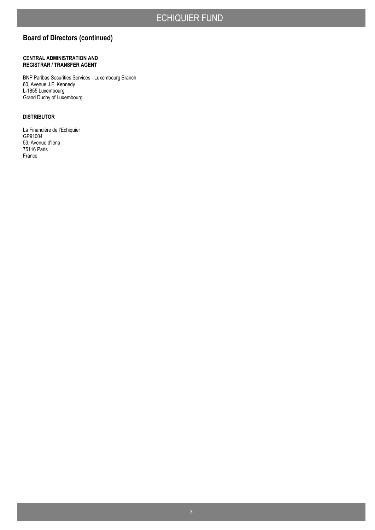# **Board of Directors (continued)**

#### **CENTRAL ADMINISTRATION AND REGISTRAR / TRANSFER AGENT**

BNP Paribas Securities Services - Luxembourg Branch 60, Avenue J.F. Kennedy L-1855 Luxembourg Grand Duchy of Luxembourg

#### **DISTRIBUTOR**

La Financière de l'Echiquier GP91004 53, Avenue d'Iéna 75116 Paris France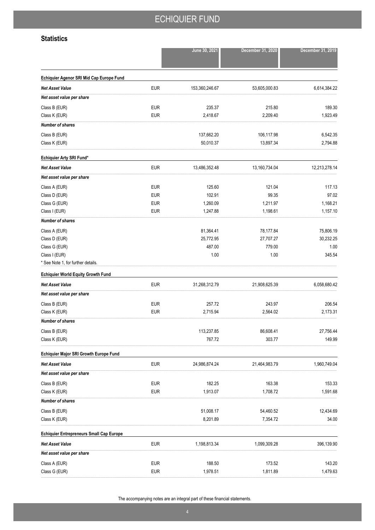## **Statistics**

|                                                 |            | June 30, 2021  | December 31, 2020 | December 31, 2019 |
|-------------------------------------------------|------------|----------------|-------------------|-------------------|
| Echiquier Agenor SRI Mid Cap Europe Fund        |            |                |                   |                   |
| <b>Net Asset Value</b>                          | <b>EUR</b> | 153,360,246.67 | 53,605,000.83     | 6,614,384.22      |
| Net asset value per share                       |            |                |                   |                   |
| Class B (EUR)                                   | <b>EUR</b> | 235.37         | 215.80            | 189.30            |
| Class K (EUR)                                   | <b>EUR</b> | 2,418.67       | 2,209.40          | 1,923.49          |
| <b>Number of shares</b>                         |            |                |                   |                   |
| Class B (EUR)                                   |            | 137,662.20     | 106,117.98        | 6,542.35          |
| Class K (EUR)                                   |            | 50,010.37      | 13,897.34         | 2,794.88          |
| Echiquier Arty SRI Fund*                        |            |                |                   |                   |
| <b>Net Asset Value</b>                          | <b>EUR</b> | 13,486,352.48  | 13,160,734.04     | 12,213,278.14     |
| Net asset value per share                       |            |                |                   |                   |
| Class A (EUR)                                   | <b>EUR</b> | 125.60         | 121.04            | 117.13            |
| Class D (EUR)                                   | <b>EUR</b> | 102.91         | 99.35             | 97.02             |
| Class G (EUR)                                   | <b>EUR</b> | 1,260.09       | 1,211.97          | 1,168.21          |
| Class I (EUR)                                   | <b>EUR</b> | 1,247.88       | 1,198.61          | 1,157.10          |
| <b>Number of shares</b>                         |            |                |                   |                   |
| Class A (EUR)                                   |            | 81,364.41      | 78,177.84         | 75,806.19         |
| Class D (EUR)                                   |            | 25,772.95      | 27,707.27         | 30,232.25         |
| Class G (EUR)                                   |            | 487.00         | 779.00            | 1.00              |
| Class I (EUR)                                   |            | 1.00           | 1.00              | 345.54            |
| * See Note 1, for further details.              |            |                |                   |                   |
| <b>Echiquier World Equity Growth Fund</b>       |            |                |                   |                   |
| <b>Net Asset Value</b>                          | <b>EUR</b> | 31,268,312.79  | 21,908,625.39     | 6,058,680.42      |
| Net asset value per share                       |            |                |                   |                   |
| Class B (EUR)                                   | <b>EUR</b> | 257.72         | 243.97            | 206.54            |
| Class K (EUR)                                   | <b>EUR</b> | 2,715.94       | 2,564.02          | 2,173.31          |
| <b>Number of shares</b>                         |            |                |                   |                   |
| Class B (EUR)                                   |            | 113,237.85     | 86,608.41         | 27,756.44         |
| Class K (EUR)                                   |            | 767.72         | 303.77            | 149.99            |
| Echiquier Major SRI Growth Europe Fund          |            |                |                   |                   |
| <b>Net Asset Value</b>                          | <b>EUR</b> | 24,986,874.24  | 21,464,983.79     | 1,960,749.04      |
| Net asset value per share                       |            |                |                   |                   |
| Class B (EUR)                                   | <b>EUR</b> | 182.25         | 163.38            | 153.33            |
| Class K (EUR)                                   | <b>EUR</b> | 1,913.07       | 1,708.72          | 1,591.68          |
| <b>Number of shares</b>                         |            |                |                   |                   |
| Class B (EUR)                                   |            | 51,008.17      | 54,460.52         | 12,434.69         |
| Class K (EUR)                                   |            | 8,201.89       | 7,354.72          | 34.00             |
| <b>Echiquier Entrepreneurs Small Cap Europe</b> |            |                |                   |                   |
| <b>Net Asset Value</b>                          | <b>EUR</b> | 1,198,813.34   | 1,099,309.28      | 396,139.90        |
| Net asset value per share                       |            |                |                   |                   |
| Class A (EUR)                                   | <b>EUR</b> | 188.50         | 173.52            | 143.20            |
| Class G (EUR)                                   | <b>EUR</b> | 1,978.51       | 1,811.89          | 1,479.63          |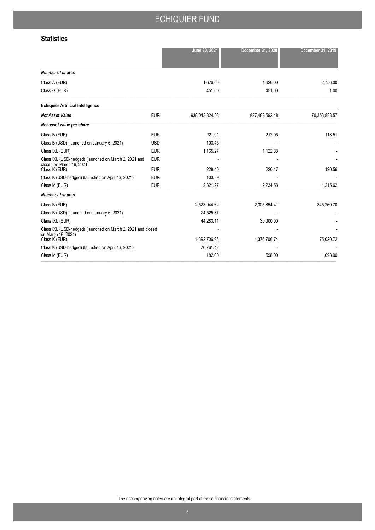## **Statistics**

|                                                                                    |            | June 30, 2021  | December 31, 2020 | December 31, 2019 |
|------------------------------------------------------------------------------------|------------|----------------|-------------------|-------------------|
|                                                                                    |            |                |                   |                   |
| <b>Number of shares</b>                                                            |            |                |                   |                   |
| Class A (EUR)                                                                      |            | 1,626.00       | 1,626.00          | 2,756.00          |
| Class G (EUR)                                                                      |            | 451.00         | 451.00            | 1.00              |
| <b>Echiquier Artificial Intelligence</b>                                           |            |                |                   |                   |
| <b>Net Asset Value</b>                                                             | <b>EUR</b> | 938,043,824.03 | 827,489,592.48    | 70,353,883.57     |
| Net asset value per share                                                          |            |                |                   |                   |
| Class B (EUR)                                                                      | <b>EUR</b> | 221.01         | 212.05            | 118.51            |
| Class B (USD) (launched on January 6, 2021)                                        | <b>USD</b> | 103.45         |                   |                   |
| Class IXL (EUR)                                                                    | <b>EUR</b> | 1,165.27       | 1,122.88          |                   |
| Class IXL (USD-hedged) (launched on March 2, 2021 and<br>closed on March 19, 2021) | EUR        |                |                   |                   |
| Class K (EUR)                                                                      | <b>EUR</b> | 228.40         | 220.47            | 120.56            |
| Class K (USD-hedged) (launched on April 13, 2021)                                  | <b>EUR</b> | 103.89         |                   |                   |
| Class M (EUR)                                                                      | <b>EUR</b> | 2,321.27       | 2,234.58          | 1,215.62          |
| <b>Number of shares</b>                                                            |            |                |                   |                   |
| Class B (EUR)                                                                      |            | 2,523,944.62   | 2,305,854.41      | 345,260.70        |
| Class B (USD) (launched on January 6, 2021)                                        |            | 24,525.87      |                   |                   |
| Class IXL (EUR)                                                                    |            | 44,283.11      | 30,000.00         |                   |
| Class IXL (USD-hedged) (launched on March 2, 2021 and closed<br>on March 19, 2021) |            |                |                   |                   |
| Class K (EUR)                                                                      |            | 1,392,706.95   | 1,376,706.74      | 75,020.72         |
| Class K (USD-hedged) (launched on April 13, 2021)                                  |            | 76,761.42      |                   |                   |
| Class M (EUR)                                                                      |            | 182.00         | 598.00            | 1,098.00          |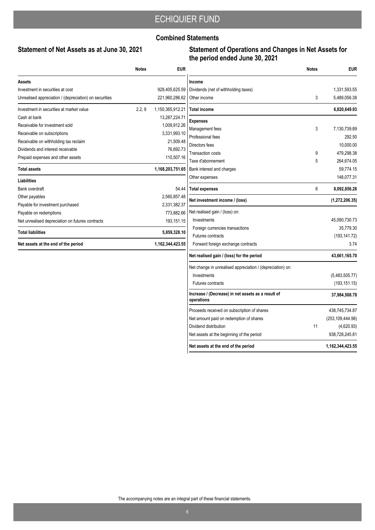## **Combined Statements**

# **Statement of Net Assets as at June 30, 2021**

### **Statement of Operations and Changes in Net Assets for the period ended June 30, 2021**

|                                                        | <b>Notes</b> | <b>EUR</b>       |
|--------------------------------------------------------|--------------|------------------|
| Assets                                                 |              |                  |
| Investment in securities at cost                       |              | 928,405,625.59   |
| Unrealised appreciation / (depreciation) on securities |              | 221,960,286.62   |
| Investment in securities at market value               | 2.2, 9       | 1,150,365,912.21 |
| Cash at bank                                           |              | 13,287,224.71    |
| Receivable for investment sold                         |              | 1,009,912.26     |
| Receivable on subscriptions                            |              | 3,331,993.10     |
| Receivable on withholding tax reclaim                  |              | 21,509.48        |
| Dividends and interest receivable                      |              | 76,692.73        |
| Prepaid expenses and other assets                      |              | 110,507.16       |
| <b>Total assets</b>                                    |              | 1,168,203,751.65 |
| <b>Liabilities</b>                                     |              |                  |
| Bank overdraft                                         |              | 54.44            |
| Other payables                                         |              | 2,560,857.48     |
| Payable for investment purchased                       |              | 2,331,382.37     |
| Payable on redemptions                                 |              | 773,882.66       |
| Net unrealised depreciation on futures contracts       |              | 193,151.15       |
| <b>Total liabilities</b>                               |              | 5,859,328.10     |
| Net assets at the end of the period                    |              | 1.162.344.423.55 |

|                                                                  | <b>Notes</b> | <b>EUR</b>         |
|------------------------------------------------------------------|--------------|--------------------|
| Income                                                           |              |                    |
| Dividends (net of withholding taxes)                             |              | 1,331,593.55       |
| Other income                                                     | 3            | 5,489,056.38       |
| Total income                                                     |              | 6,820,649.93       |
| <b>Expenses</b>                                                  |              |                    |
| Management fees                                                  | 3            | 7,130,739.89       |
| Professional fees                                                |              | 292.50             |
| Directors fees                                                   |              | 10,000.00          |
| <b>Transaction costs</b>                                         | 9            | 479,298.38         |
| Taxe d'abonnement                                                | 5            | 264,674.05         |
| Bank interest and charges                                        |              | 59,774.15          |
| Other expenses                                                   |              | 148,077.31         |
| <b>Total expenses</b>                                            | 8            | 8,092,856.28       |
| Net investment income / (loss)                                   |              | (1,272,206.35)     |
| Net realised gain / (loss) on:                                   |              |                    |
| Investments                                                      |              | 45,090,730.73      |
| Foreign currencies transactions                                  |              | 35,779.30          |
| Futures contracts                                                |              | (193, 141.72)      |
| Forward foreign exchange contracts                               |              | 3.74               |
| Net realised gain / (loss) for the period                        |              | 43,661,165.70      |
| Net change in unrealised appreciation / (depreciation) on:       |              |                    |
| Investments                                                      |              | (5,483,505.77)     |
| <b>Futures contracts</b>                                         |              | (193, 151.15)      |
| Increase / (Decrease) in net assets as a result of<br>operations |              | 37,984,508.78      |
| Proceeds received on subscription of shares                      |              | 438,745,734.87     |
| Net amount paid on redemption of shares                          |              | (253, 109, 444.98) |
| Dividend distribution                                            | 11           | (4,620.93)         |
| Net assets at the beginning of the period                        |              | 938,728,245.81     |
| Net assets at the end of the period                              |              | 1,162,344,423.55   |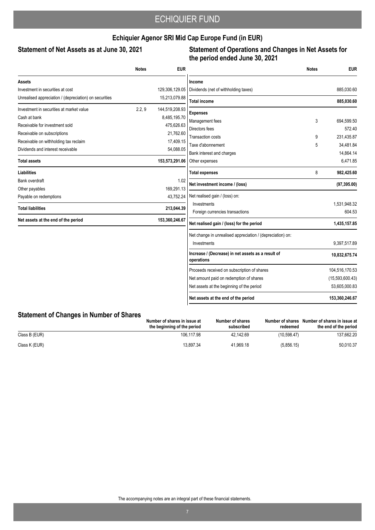## **Echiquier Agenor SRI Mid Cap Europe Fund (in EUR)**

### Statement of Net Assets as at June 30, 2021

### **Statement of Operations and Changes in Net Assets for the period ended June 30, 2021**

|                                                        | <b>Notes</b> | <b>EUR</b>     |                                                                  | <b>Notes</b> | <b>EUR</b>      |
|--------------------------------------------------------|--------------|----------------|------------------------------------------------------------------|--------------|-----------------|
| Assets                                                 |              |                | Income                                                           |              |                 |
| Investment in securities at cost                       |              | 129,306,129.05 | Dividends (net of withholding taxes)                             |              | 885,030.60      |
| Unrealised appreciation / (depreciation) on securities |              | 15,213,079.88  | <b>Total income</b>                                              |              | 885,030.60      |
| Investment in securities at market value               | 2.2, 9       | 144,519,208.93 | <b>Expenses</b>                                                  |              |                 |
| Cash at bank                                           |              | 8,485,195.70   | Management fees                                                  | 3            | 694,599.50      |
| Receivable for investment sold                         |              | 475,626.63     | Directors fees                                                   |              | 572.40          |
| Receivable on subscriptions                            |              | 21,762.60      | Transaction costs                                                | 9            | 231,435.87      |
| Receivable on withholding tax reclaim                  |              | 17,409.15      | Taxe d'abonnement                                                | 5            | 34,481.84       |
| Dividends and interest receivable                      |              | 54,088.05      | Bank interest and charges                                        |              | 14,864.14       |
| <b>Total assets</b>                                    |              | 153,573,291.06 | Other expenses                                                   |              | 6,471.85        |
| <b>Liabilities</b>                                     |              |                | <b>Total expenses</b>                                            | 8            | 982,425.60      |
| Bank overdraft                                         |              | 1.02           |                                                                  |              |                 |
| Other payables                                         |              | 169,291.13     | Net investment income / (loss)                                   |              | (97, 395.00)    |
| Payable on redemptions                                 |              | 43.752.24      | Net realised gain / (loss) on:                                   |              |                 |
| <b>Total liabilities</b>                               |              | 213,044.39     | Investments                                                      |              | 1,531,948.32    |
|                                                        |              |                | Foreign currencies transactions                                  |              | 604.53          |
| Net assets at the end of the period                    |              | 153,360,246.67 | Net realised gain / (loss) for the period                        |              | 1,435,157.85    |
|                                                        |              |                | Net change in unrealised appreciation / (depreciation) on:       |              |                 |
|                                                        |              |                | Investments                                                      |              | 9,397,517.89    |
|                                                        |              |                | Increase / (Decrease) in net assets as a result of<br>operations |              | 10,832,675.74   |
|                                                        |              |                | Proceeds received on subscription of shares                      |              | 104,516,170.53  |
|                                                        |              |                | Net amount paid on redemption of shares                          |              | (15,593,600.43) |
|                                                        |              |                | Net assets at the beginning of the period                        |              | 53,605,000.83   |
|                                                        |              |                | Net assets at the end of the period                              |              | 153,360,246.67  |

### **Statement of Changes in Number of Shares**

|               | Number of shares in issue at<br>the beginning of the period | Number of shares<br>subscribed | Number of shares<br>redeemed | Number of shares in issue at<br>the end of the period |
|---------------|-------------------------------------------------------------|--------------------------------|------------------------------|-------------------------------------------------------|
| Class B (EUR) | 106.117.98                                                  | 42.142.69                      | (10.598.47)                  | 137.662.20                                            |
| Class K (EUR) | 13.897.34                                                   | 41.969.18                      | (5,856.15)                   | 50,010.37                                             |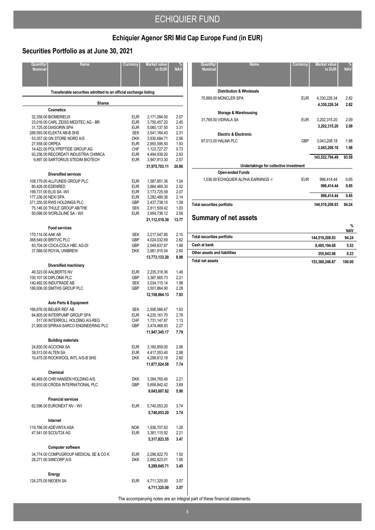# **Echiquier Agenor SRI Mid Cap Europe Fund (in EUR)**

# **Securities Portfolio as at June 30, 2021**

| Quantity/<br><b>Nominal</b> | <b>Name</b>                                                               | Currency                 | Market value<br>in EUR       | <b>NAV</b>   |
|-----------------------------|---------------------------------------------------------------------------|--------------------------|------------------------------|--------------|
|                             |                                                                           |                          |                              |              |
|                             |                                                                           |                          |                              |              |
|                             | Transferable securities admitted to an official exchange listing          |                          |                              |              |
|                             | <b>Shares</b><br><b>Cosmetics</b>                                         |                          |                              |              |
|                             | 32,358.00 BIOMERIEUX                                                      | <b>EUR</b>               | 3,171,084.00                 | 2.07         |
|                             | 23,016.00 CARL ZEISS MEDITEC AG - BR                                      | <b>EUR</b>               | 3,750,457.20                 | 2.45         |
|                             | 31,725.00 DIASORIN SPA                                                    | <b>EUR</b>               | 5,060,137.50                 | 3.31         |
|                             | 289,593.00 ELEKTA AB-B SHS<br>53,357.00 GN STORE NORD A/S                 | <b>SEK</b><br><b>DKK</b> | 3,541,164.43<br>3,930,684.71 | 2.31<br>2.56 |
| 27,558.00 ORPEA             |                                                                           | <b>EUR</b>               | 2.955.595.50                 | 1.93         |
|                             | 14,422.00 POLYPEPTIDE GROUP AG                                            | CHF                      | 1,123,727.27                 | 0.73         |
|                             | 93,256.00 RECORDATI INDUSTRIA CHIMICA                                     | <b>EUR</b>               | 4,494,939.20                 | 2.93         |
|                             | 9,897.00 SARTORIUS STEDIM BIOTECH                                         | <b>EUR</b>               | 3,947,913.30                 | 2.57         |
|                             | <b>Diversified services</b>                                               |                          | 31,975,703.11                | 20.86        |
|                             | 108,179.00 ALLFUNDS GROUP PLC                                             | <b>EUR</b>               | 1,587,851.36                 | 1.04         |
|                             | 80,426.00 EDENRED                                                         | <b>EUR</b>               | 3,864,469.30                 | 2.52         |
|                             | 199,731.00 ELIS SA -W/I                                                   | <b>EUR</b>               | 3,173,725.59                 | 2.07         |
| 177,336.00 NEXI SPA         |                                                                           | <b>EUR</b>               | 3.282.489.36                 | 2.14         |
|                             | 371,250.00 RWS HOLDINGS PLC<br>75,146.00 THULE GROUP AB/THE               | <b>GBP</b><br><b>SEK</b> | 2,437,738.15<br>2,811,509.42 | 1.59<br>1.83 |
|                             | 50,098.00 WORLDLINE SA - W/I                                              | <b>EUR</b>               | 3,954,736.12                 | 2.58         |
|                             |                                                                           |                          | 21,112,519.30                | 13.77        |
|                             | <b>Food services</b>                                                      |                          |                              |              |
| 170,114.00 AAK AB           |                                                                           | <b>SEK</b>               | 3,217,547.80                 | 2.10         |
|                             | 368.549.00 BRITVIC PLC                                                    | <b>GBP</b>               | 4,024,032.69                 | 2.62         |
|                             | 83,704.00 COCA-COLA HBC AG-DI                                             | <b>GBP</b>               | 2,549,637.67                 | 1.66         |
|                             | 37,068.00 ROYAL UNIBREW                                                   | <b>DKK</b>               | 3,981,915.04                 | 2.60<br>8.98 |
|                             |                                                                           |                          | 13,773,133.20                |              |
|                             | Diversified machinery                                                     |                          |                              |              |
|                             | 49,323.00 AALBERTS NV<br>100,107.00 DIPLOMA PLC                           | <b>EUR</b><br>GBP        | 2,235,318.36<br>3,387,565.73 | 1.46<br>2.21 |
|                             | 140,492.00 INDUTRADE AB                                                   | <b>SEK</b>               | 3,034,115.14                 | 1.98         |
|                             | 189,006.00 SMITHS GROUP PLC                                               | <b>GBP</b>               | 3,501,864.90                 | 2.28         |
|                             |                                                                           |                          | 12,158,864.13                | 7.93         |
|                             | <b>Auto Parts &amp; Equipment</b>                                         |                          |                              |              |
|                             | 166,676.00 BEIJER REF AB                                                  | <b>SEK</b>               | 2,506,566.67                 | 1.63         |
|                             | 84,805.00 INTERPUMP GROUP SPA                                             | <b>EUR</b>               | 4.235.161.70                 | 2.76         |
|                             | 517.00 INTERROLL HOLDING AG-REG<br>21,900.00 SPIRAX-SARCO ENGINEERING PLC | <b>CHF</b><br>GBP        | 1,731,147.87<br>3,474,468.93 | 1.13<br>2.27 |
|                             |                                                                           |                          | 11,947,345.17                | 7.79         |
|                             | <b>Building materials</b>                                                 |                          |                              |              |
|                             | 24,830.00 ACCIONA SA                                                      | <b>EUR</b>               | 3,160,859.00                 | 2.06         |
|                             | 39,513.00 ALTEN SA                                                        | EUR                      | 4,417,553.40                 | 2.88         |
|                             | 10,470.00 ROCKWOOL INTL A/S-B SHS                                         | DKK                      | 4,298,612.18                 | 2.80         |
|                             |                                                                           |                          | 11,877,024.58                | 7.74         |
|                             | Chemical                                                                  |                          |                              |              |
|                             | 44,469.00 CHR HANSEN HOLDING A/S                                          | <b>DKK</b>               | 3,384,765.40                 | 2.21         |
|                             | 65,910.00 CRODA INTERNATIONAL PLC                                         | <b>GBP</b>               | 5,658,842.42<br>9,043,607.82 | 3.69<br>5.90 |
|                             |                                                                           |                          |                              |              |
|                             | <b>Financial services</b><br>62,596.00 EURONEXT NV - W/I                  | <b>EUR</b>               | 5,740,053.20                 | 3.74         |
|                             |                                                                           |                          | 5,740,053.20                 | 3.74         |
|                             | Internet                                                                  |                          |                              |              |
|                             | 119,766.00 ADEVINTA ASA                                                   | <b>NOK</b>               | 1,936,707.63                 | 1.26         |
|                             | 47,541.00 SCOUT24 AG                                                      | <b>EUR</b>               | 3,381,115.92                 | 2.21         |
|                             |                                                                           |                          | 5,317,823.55                 | 3.47         |
|                             | <b>Computer software</b>                                                  |                          |                              |              |
|                             | 34,774.00 COMPUGROUP MEDICAL SE & CO K                                    | <b>EUR</b>               | 2,296,822.70                 | 1.50         |
|                             | 28,271.00 SIMCORP A/S                                                     | DKK                      | 2,992,823.01                 | 1.95         |
|                             |                                                                           |                          | 5,289,645.71                 | 3.45         |
|                             | Energy                                                                    |                          |                              |              |
|                             | 124,375.00 NEOEN SA                                                       | <b>EUR</b>               | 4,711,325.00                 | 3.07         |
|                             |                                                                           |                          | 4,711,325.00                 | 3.07         |
|                             |                                                                           |                          |                              |              |

| Quantity/<br><b>Nominal</b>       | <b>Name</b>                            | Currency   | <b>Market value</b><br>in EUR | %<br><b>NAV</b> |
|-----------------------------------|----------------------------------------|------------|-------------------------------|-----------------|
|                                   |                                        |            |                               |                 |
|                                   | <b>Distribution &amp; Wholesale</b>    |            |                               |                 |
|                                   | 75,889.00 MONCLER SPA                  | <b>EUR</b> | 4.330.226.34                  | 2.82            |
|                                   |                                        |            | 4,330,226.34                  | 2.82            |
|                                   | Storage & Warehousing                  |            |                               |                 |
|                                   | 31,769.00 VIDRALA SA                   | <b>EUR</b> | 3,202,315.20                  | 2.09            |
|                                   |                                        |            | 3,202,315.20                  | 2.09            |
|                                   | <b>Electric &amp; Electronic</b>       |            |                               |                 |
|                                   | 97,013.00 HALMA PLC                    | GBP        | 3,043,208.18                  | 1.98            |
|                                   |                                        |            | 3,043,208.18                  | 1.98            |
|                                   |                                        |            | 143,522,794.49                | 93.59           |
|                                   | Undertakings for collective investment |            |                               |                 |
|                                   | <b>Open-ended Funds</b>                |            |                               |                 |
|                                   | 1.036.00 ECHIQUIER ALPHA EARNINGS -I   | <b>EUR</b> | 996.414.44                    | 0.65            |
|                                   |                                        |            | 996,414.44                    | 0.65            |
|                                   |                                        |            | 996,414.44                    | 0.65            |
| <b>Total securities portfolio</b> |                                        |            | 144,519,208.93                | 94.24           |
|                                   | <b>Summary of net assets</b>           |            |                               |                 |

|                                   |                | %<br><b>NAV</b> |
|-----------------------------------|----------------|-----------------|
| <b>Total securities portfolio</b> | 144.519.208.93 | 94.24           |
| Cash at bank                      | 8.485.194.68   | 5.53            |
| Other assets and liabilities      | 355.843.06     | 0.23            |
| <b>Total net assets</b>           | 153,360,246.67 | 100.00          |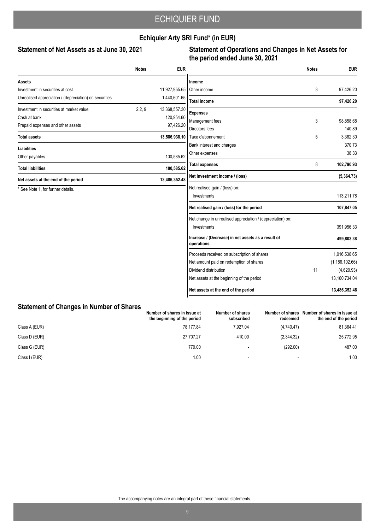## **Echiquier Arty SRI Fund\* (in EUR)**

### Statement of Net Assets as at June 30, 2021

### **Statement of Operations and Changes in Net Assets for the period ended June 30, 2021**

|                                                        | <b>Notes</b> | <b>EUR</b>    |                                                                  | <b>Notes</b> | <b>EUR</b>       |
|--------------------------------------------------------|--------------|---------------|------------------------------------------------------------------|--------------|------------------|
| <b>Assets</b>                                          |              |               | Income                                                           |              |                  |
| Investment in securities at cost                       |              | 11,927,955.65 | Other income                                                     | 3            | 97,426.20        |
| Unrealised appreciation / (depreciation) on securities |              | 1,440,601.65  | <b>Total income</b>                                              |              | 97,426.20        |
| Investment in securities at market value               | 2.2, 9       | 13,368,557.30 | <b>Expenses</b>                                                  |              |                  |
| Cash at bank                                           |              | 120,954.60    | Management fees                                                  | 3            | 98,858.68        |
| Prepaid expenses and other assets                      |              | 97,426.20     | Directors fees                                                   |              | 140.89           |
| <b>Total assets</b>                                    |              | 13,586,938.10 | Taxe d'abonnement                                                | 5            | 3,382.30         |
| <b>Liabilities</b>                                     |              |               | Bank interest and charges                                        |              | 370.73           |
| Other payables                                         |              | 100,585.62    | Other expenses                                                   |              | 38.33            |
| <b>Total liabilities</b>                               |              | 100,585.62    | <b>Total expenses</b>                                            | 8            | 102,790.93       |
| Net assets at the end of the period                    |              | 13,486,352.48 | Net investment income / (loss)                                   |              | (5,364.73)       |
| * See Note 1, for further details.                     |              |               | Net realised gain / (loss) on:                                   |              |                  |
|                                                        |              |               | Investments                                                      |              | 113,211.78       |
|                                                        |              |               | Net realised gain / (loss) for the period                        |              | 107,847.05       |
|                                                        |              |               | Net change in unrealised appreciation / (depreciation) on:       |              |                  |
|                                                        |              |               | Investments                                                      |              | 391,956.33       |
|                                                        |              |               | Increase / (Decrease) in net assets as a result of<br>operations |              | 499,803.38       |
|                                                        |              |               | Proceeds received on subscription of shares                      |              | 1,016,538.65     |
|                                                        |              |               | Net amount paid on redemption of shares                          |              | (1, 186, 102.66) |
|                                                        |              |               | Dividend distribution                                            | 11           | (4,620.93)       |
|                                                        |              |               | Net assets at the beginning of the period                        |              | 13,160,734.04    |
|                                                        |              |               | Net assets at the end of the period                              |              | 13,486,352.48    |

## **Statement of Changes in Number of Shares**

|               | Number of shares in issue at<br>the beginning of the period | Number of shares<br>subscribed | redeemed   | Number of shares Number of shares in issue at<br>the end of the period |
|---------------|-------------------------------------------------------------|--------------------------------|------------|------------------------------------------------------------------------|
| Class A (EUR) | 78.177.84                                                   | 7.927.04                       | (4,740.47) | 81,364.41                                                              |
| Class D (EUR) | 27.707.27                                                   | 410.00                         | (2,344.32) | 25,772.95                                                              |
| Class G (EUR) | 779.00                                                      |                                | (292.00)   | 487.00                                                                 |
| Class I (EUR) | 1.00                                                        |                                |            | 1.00                                                                   |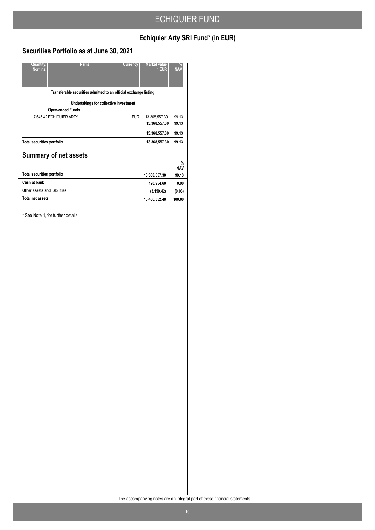# **Echiquier Arty SRI Fund\* (in EUR)**

## **Securities Portfolio as at June 30, 2021**

| Quantity/<br><b>Name</b><br><b>Nominal</b>                       | Currency   | <b>Market value</b><br>in EUR | $\frac{9}{6}$<br><b>NAV</b> |
|------------------------------------------------------------------|------------|-------------------------------|-----------------------------|
| Transferable securities admitted to an official exchange listing |            |                               |                             |
| Undertakings for collective investment                           |            |                               |                             |
| <b>Open-ended Funds</b>                                          |            |                               |                             |
| 7,645.42 ECHIQUIER ARTY                                          | <b>EUR</b> | 13,368,557.30                 | 99.13                       |
|                                                                  |            | 13,368,557.30                 | 99.13                       |
|                                                                  |            | 13,368,557.30                 | 99.13                       |
| <b>Total securities portfolio</b>                                |            | 13,368,557.30                 | 99.13                       |
| <b>Summary of net assets</b>                                     |            |                               |                             |
|                                                                  |            |                               | $\%$                        |
|                                                                  |            |                               | <b>NAV</b>                  |
| <b>Total securities portfolio</b>                                |            | 13,368,557.30                 | 99.13                       |
| Cash at bank                                                     |            | 120,954.60                    | 0.90                        |
| Other assets and liabilities                                     |            | (3, 159.42)                   | (0.03)                      |
| <b>Total net assets</b>                                          |            | 13,486,352.48                 | 100.00                      |

\* See Note 1, for further details.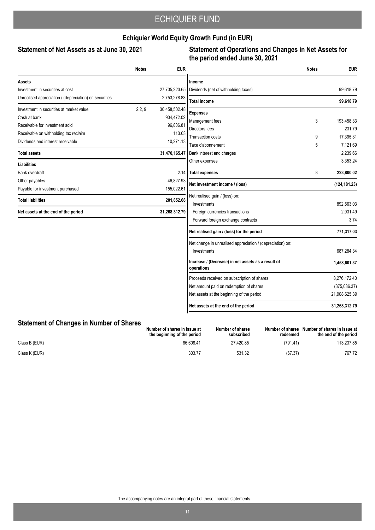## **Echiquier World Equity Growth Fund (in EUR)**

### Statement of Net Assets as at June 30, 2021

## **Statement of Operations and Changes in Net Assets for the period ended June 30, 2021**

|                                                        | <b>Notes</b> | <b>EUR</b>    |                                                                  | <b>Notes</b> | <b>EUR</b>    |
|--------------------------------------------------------|--------------|---------------|------------------------------------------------------------------|--------------|---------------|
| Assets                                                 |              |               | Income                                                           |              |               |
| Investment in securities at cost                       |              | 27,705,223.65 | Dividends (net of withholding taxes)                             |              | 99,618.79     |
| Unrealised appreciation / (depreciation) on securities |              | 2,753,278.83  | <b>Total income</b>                                              |              | 99.618.79     |
| Investment in securities at market value               | 2.2, 9       | 30,458,502.48 | <b>Expenses</b>                                                  |              |               |
| Cash at bank                                           |              | 904,472.02    | Management fees                                                  | 3            | 193.458.33    |
| Receivable for investment sold                         |              | 96,806.81     | Directors fees                                                   |              | 231.79        |
| Receivable on withholding tax reclaim                  |              | 113.03        | <b>Transaction costs</b>                                         | 9            | 17,395.31     |
| Dividends and interest receivable                      |              | 10,271.13     | Taxe d'abonnement                                                | 5            | 7,121.69      |
| <b>Total assets</b>                                    |              | 31,470,165.47 | Bank interest and charges                                        |              | 2.239.66      |
| <b>Liabilities</b>                                     |              |               | Other expenses                                                   |              | 3,353.24      |
| Bank overdraft                                         |              | 2.14          | <b>Total expenses</b>                                            | 8            | 223,800.02    |
| Other payables                                         |              | 46,827.93     | Net investment income / (loss)                                   |              | (124, 181.23) |
| Payable for investment purchased                       |              | 155,022.61    |                                                                  |              |               |
| <b>Total liabilities</b>                               |              | 201,852.68    | Net realised gain / (loss) on:<br>Investments                    |              | 892,563.03    |
| Net assets at the end of the period                    |              | 31,268,312.79 | Foreign currencies transactions                                  |              | 2,931.49      |
|                                                        |              |               | Forward foreign exchange contracts                               |              | 3.74          |
|                                                        |              |               | Net realised gain / (loss) for the period                        |              | 771,317.03    |
|                                                        |              |               | Net change in unrealised appreciation / (depreciation) on:       |              |               |
|                                                        |              |               | Investments                                                      |              | 687,284.34    |
|                                                        |              |               | Increase / (Decrease) in net assets as a result of<br>operations |              | 1,458,601.37  |
|                                                        |              |               | Proceeds received on subscription of shares                      |              | 8,276,172.40  |
|                                                        |              |               | Net amount paid on redemption of shares                          |              | (375,086.37)  |
|                                                        |              |               | Net assets at the beginning of the period                        |              | 21,908,625.39 |
|                                                        |              |               | Net assets at the end of the period                              |              | 31,268,312.79 |

## **Statement of Changes in Number of Shares**

|               | Number of shares in issue at<br>the beginning of the period | Number of shares<br>subscribed | Number of shares<br>redeemed | Number of shares in issue at<br>the end of the period |
|---------------|-------------------------------------------------------------|--------------------------------|------------------------------|-------------------------------------------------------|
| Class B (EUR) | 86.608.41                                                   | 27.420.85                      | (791.41)                     | 113,237.85                                            |
| Class K (EUR) | 303.77                                                      | 531.32                         | (67.37)                      | 767.72                                                |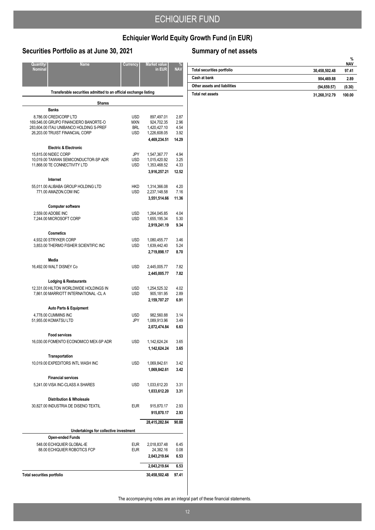# **Echiquier World Equity Growth Fund (in EUR)**

## **Securities Portfolio as at June 30, 2021**

| Quantity/<br>Nominal              | <b>Name</b>                                                                                                                                   | Currency                               | <b>Market value</b><br>in EUR                                            | NA)                                   |
|-----------------------------------|-----------------------------------------------------------------------------------------------------------------------------------------------|----------------------------------------|--------------------------------------------------------------------------|---------------------------------------|
|                                   | Transferable securities admitted to an official exchange listing                                                                              |                                        |                                                                          |                                       |
|                                   | <b>Shares</b>                                                                                                                                 |                                        |                                                                          |                                       |
|                                   | Banks                                                                                                                                         |                                        |                                                                          |                                       |
|                                   | 8,786.00 CREDICORP LTD<br>169,546.00 GRUPO FINANCIERO BANORTE-O<br>283,604.00 ITAU UNIBANCO HOLDING S-PREF<br>26,203.00 TRUIST FINANCIAL CORP | USD<br><b>MXN</b><br><b>BRL</b><br>USD | 897,497.01<br>924,702.35<br>1,420,427.10<br>1,226,608.05<br>4,469,234.51 | 2.87<br>2.96<br>4.54<br>3.92<br>14.29 |
|                                   | <b>Electric &amp; Electronic</b>                                                                                                              |                                        |                                                                          |                                       |
|                                   | 15,815.00 NIDEC CORP<br>10,019.00 TAIWAN SEMICONDUCTOR-SP ADR<br>11,868.00 TE CONNECTIVITY LTD                                                | JPY<br><b>USD</b><br>USD               | 1,547,367.77<br>1,015,420.92<br>1,353,468.52<br>3,916,257.21             | 4.94<br>3.25<br>4.33<br>12.52         |
|                                   | Internet                                                                                                                                      |                                        |                                                                          |                                       |
|                                   | 55.011.00 ALIBABA GROUP HOLDING LTD<br>771.00 AMAZON.COM INC                                                                                  | HKD<br><b>USD</b>                      | 1,314,366.08<br>2,237,148.58<br>3,551,514.66                             | 4.20<br>7.16<br>11.36                 |
|                                   | <b>Computer software</b>                                                                                                                      |                                        |                                                                          |                                       |
|                                   | 2,559.00 ADOBE INC<br>7,244.00 MICROSOFT CORP                                                                                                 | <b>USD</b><br><b>USD</b>               | 1,264,045.85<br>1,655,195.34<br>2,919,241.19                             | 4.04<br>5.30<br>9.34                  |
|                                   | <b>Cosmetics</b>                                                                                                                              |                                        |                                                                          |                                       |
|                                   | 4,932.00 STRYKER CORP<br>3,853.00 THERMO FISHER SCIENTIFIC INC                                                                                | <b>USD</b><br>USD                      | 1,080,455.77<br>1,639,442.40<br>2,719,898.17                             | 3.46<br>5.24<br>8.70                  |
|                                   | Media                                                                                                                                         |                                        |                                                                          |                                       |
|                                   | 16,492.00 WALT DISNEY Co                                                                                                                      | USD                                    | 2,445,005.77<br>2,445,005.77                                             | 7.82<br>7.82                          |
|                                   | <b>Lodging &amp; Restaurants</b><br>12,331.00 HILTON WORLDWIDE HOLDINGS IN<br>7,861.00 MARRIOTT INTERNATIONAL -CL A                           | <b>USD</b><br>USD                      | 1,254,525.32<br>905,181.95<br>2,159,707.27                               | 4.02<br>2.89<br>6.91                  |
|                                   | <b>Auto Parts &amp; Equipment</b>                                                                                                             |                                        |                                                                          |                                       |
|                                   | 4,778.00 CUMMINS INC<br>51,955.00 KOMATSU LTD                                                                                                 | USD<br>JPY                             | 982,560.88<br>1,089,913.96<br>2,072,474.84                               | 3.14<br>3.49<br>6.63                  |
|                                   | <b>Food services</b>                                                                                                                          |                                        |                                                                          |                                       |
|                                   | 16,030.00 FOMENTO ECONOMICO MEX-SP ADR                                                                                                        | USD                                    | 1,142,624.24<br>1,142,624.24                                             | 3.65<br>3.65                          |
|                                   | Transportation                                                                                                                                |                                        |                                                                          |                                       |
|                                   | 10,019.00 EXPEDITORS INTL WASH INC                                                                                                            | USD                                    | 1,069,842.61<br>1,069,842.61                                             | 3.42<br>3.42                          |
|                                   | <b>Financial services</b><br>5,241.00 VISA INC-CLASS A SHARES                                                                                 | <b>USD</b>                             | 1,033,612.20                                                             | 3.31                                  |
|                                   |                                                                                                                                               |                                        | 1,033,612.20                                                             | 3.31                                  |
|                                   | <b>Distribution &amp; Wholesale</b><br>30,827.00 INDUSTRIA DE DISENO TEXTIL                                                                   | <b>EUR</b>                             | 915,870.17                                                               | 2.93                                  |
|                                   |                                                                                                                                               |                                        | 915,870.17                                                               | 2.93                                  |
|                                   | Undertakings for collective investment                                                                                                        |                                        | 28,415,282.84                                                            | 90.88                                 |
|                                   | <b>Open-ended Funds</b>                                                                                                                       |                                        |                                                                          |                                       |
|                                   | 548.00 ECHIQUIER GLOBAL-IE<br>88.00 ECHIQUIER ROBOTICS FCP                                                                                    | EUR<br><b>EUR</b>                      | 2,018,837.48<br>24,382.16                                                | 6.45<br>0.08                          |
|                                   |                                                                                                                                               |                                        | 2,043,219.64                                                             | 6.53                                  |
|                                   |                                                                                                                                               |                                        | 2,043,219.64                                                             | 6.53                                  |
| <b>Total securities portfolio</b> |                                                                                                                                               |                                        | 30,458,502.48                                                            | 97.41                                 |

# **Summary of net assets**

|                                   |               | %<br><b>NAV</b> |
|-----------------------------------|---------------|-----------------|
| <b>Total securities portfolio</b> | 30,458,502.48 | 97.41           |
| Cash at bank                      | 904.469.88    | 2.89            |
| Other assets and liabilities      | (94, 659.57)  | (0.30)          |
| Total net assets                  | 31,268,312.79 | 100.00          |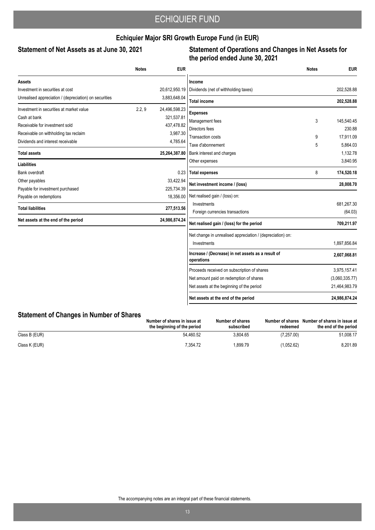## **Echiquier Major SRI Growth Europe Fund (in EUR)**

### Statement of Net Assets as at June 30, 2021

### **Statement of Operations and Changes in Net Assets for the period ended June 30, 2021**

|                                                        | <b>Notes</b> | <b>EUR</b>    |                                                                  | <b>Notes</b> | <b>EUR</b>            |
|--------------------------------------------------------|--------------|---------------|------------------------------------------------------------------|--------------|-----------------------|
| Assets                                                 |              |               | Income                                                           |              |                       |
| Investment in securities at cost                       |              | 20,612,950.19 | Dividends (net of withholding taxes)                             |              | 202,528.88            |
| Unrealised appreciation / (depreciation) on securities |              | 3,883,648.04  | <b>Total income</b>                                              |              | 202,528.88            |
| Investment in securities at market value               | 2.2, 9       | 24,496,598.23 | <b>Expenses</b>                                                  |              |                       |
| Cash at bank                                           |              | 321,537.81    | Management fees                                                  | 3            | 145,540.45            |
| Receivable for investment sold                         |              | 437,478.82    | Directors fees                                                   |              | 230.88                |
| Receivable on withholding tax reclaim                  |              | 3,987.30      | <b>Transaction costs</b>                                         | 9            | 17,911.09             |
| Dividends and interest receivable                      |              | 4,785.64      | Taxe d'abonnement                                                | 5            | 5,864.03              |
| <b>Total assets</b>                                    |              | 25,264,387.80 | Bank interest and charges                                        |              | 1,132.78              |
|                                                        |              |               | Other expenses                                                   |              | 3,840.95              |
| <b>Liabilities</b>                                     |              |               |                                                                  |              |                       |
| <b>Bank overdraft</b>                                  |              | 0.23          | <b>Total expenses</b>                                            | 8            | 174,520.18            |
| Other payables                                         |              | 33,422.94     | Net investment income / (loss)                                   |              | 28,008.70             |
| Payable for investment purchased                       |              | 225,734.39    |                                                                  |              |                       |
| Payable on redemptions                                 |              | 18,356.00     | Net realised gain / (loss) on:                                   |              |                       |
| <b>Total liabilities</b>                               |              | 277,513.56    | Investments<br>Foreign currencies transactions                   |              | 681,267.30<br>(64.03) |
| Net assets at the end of the period                    |              | 24,986,874.24 |                                                                  |              |                       |
|                                                        |              |               | Net realised gain / (loss) for the period                        |              | 709,211.97            |
|                                                        |              |               | Net change in unrealised appreciation / (depreciation) on:       |              |                       |
|                                                        |              |               | Investments                                                      |              | 1,897,856.84          |
|                                                        |              |               | Increase / (Decrease) in net assets as a result of<br>operations |              | 2,607,068.81          |
|                                                        |              |               | Proceeds received on subscription of shares                      |              | 3,975,157.41          |
|                                                        |              |               | Net amount paid on redemption of shares                          |              | (3,060,335.77)        |
|                                                        |              |               | Net assets at the beginning of the period                        |              | 21,464,983.79         |
|                                                        |              |               | Net assets at the end of the period                              |              | 24,986,874.24         |

### **Statement of Changes in Number of Shares**

|               | Number of shares in issue at<br>the beginning of the period | Number of shares<br>subscribed | Number of shares<br>redeemed | Number of shares in issue at<br>the end of the period |
|---------------|-------------------------------------------------------------|--------------------------------|------------------------------|-------------------------------------------------------|
| Class B (EUR) | 54.460.52                                                   | 3.804.65                       | (7.257.00)                   | 51.008.17                                             |
| Class K (EUR) | 7.354.72                                                    | 1.899.79                       | (1.052.62)                   | 8.201.89                                              |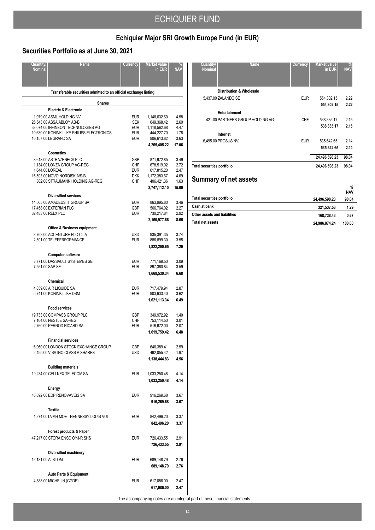# **Echiquier Major SRI Growth Europe Fund (in EUR)**

## **Securities Portfolio as at June 30, 2021**

| Quantity/<br><b>Nominal</b> | <b>Name</b>                                                       | Currency                 | <b>Market value</b><br>in EUR | NA <sup></sup> |
|-----------------------------|-------------------------------------------------------------------|--------------------------|-------------------------------|----------------|
|                             |                                                                   |                          |                               |                |
|                             | Transferable securities admitted to an official exchange listing  |                          |                               |                |
|                             | <b>Shares</b>                                                     |                          |                               |                |
|                             | <b>Electric &amp; Electronic</b>                                  |                          |                               |                |
|                             | 1,979.00 ASML HOLDING NV                                          | <b>EUR</b>               | 1,146,632.60                  | 4.58           |
|                             | 25,543.00 ASSA ABLOY AB-B<br>33.074.00 INFINEON TECHNOLOGIES AG   | <b>SEK</b><br><b>EUR</b> | 649,368.42<br>1,118,562.68    | 2.60<br>4.47   |
|                             | 10,630.00 KONINKLIJKE PHILIPS ELECTRONICS                         | <b>EUR</b>               | 444,227.70                    | 1.78           |
|                             | 10,157.00 LEGRAND SA                                              | <b>EUR</b>               | 906,613.82                    | 3.63           |
|                             |                                                                   |                          | 4,265,405.22                  | 17.06          |
|                             | <b>Cosmetics</b>                                                  |                          |                               |                |
|                             | 8,618.00 ASTRAZENECA PLC<br>1,134.00 LONZA GROUP AG-REG           | <b>GBP</b><br><b>CHF</b> | 871,972.85<br>678,519.02      | 3.49<br>2.72   |
|                             | 1,644.00 LOREAL                                                   | <b>EUR</b>               | 617,815.20                    | 2.47           |
|                             | 16,593.00 NOVO NORDISK A/S-B                                      | <b>DKK</b>               | 1,172,383.67                  | 4.69           |
|                             | 302.00 STRAUMANN HOLDING AG-REG                                   | CHF                      | 406,421.36                    | 1.63           |
|                             |                                                                   |                          | 3,747,112.10                  | 15.00          |
|                             | <b>Diversified services</b>                                       |                          |                               |                |
|                             | 14,565.00 AMADEUS IT GROUP SA<br>17,458.00 EXPERIAN PLC           | <b>EUR</b><br><b>GBP</b> | 863,995.80<br>566,764.02      | 3.46<br>2.27   |
|                             | 32,483.00 RELX PLC                                                | <b>EUR</b>               | 730,217.84                    | 2.92           |
|                             |                                                                   |                          | 2,160,977.66                  | 8.65           |
|                             | <b>Office &amp; Business equipment</b>                            |                          |                               |                |
|                             | 3,762.00 ACCENTURE PLC-CL A                                       | <b>USD</b>               | 935,391.35                    | 3.74           |
|                             | 2,591.00 TELEPERFORMANCE                                          | <b>EUR</b>               | 886,899.30                    | 3.55           |
|                             |                                                                   |                          | 1,822,290.65                  | 7.29           |
|                             | <b>Computer software</b>                                          |                          |                               |                |
|                             | 3,771.00 DASSAULT SYSTEMES SE                                     | <b>EUR</b>               | 771,169.50                    | 3.09           |
| 7,551.00 SAP SE             |                                                                   | <b>EUR</b>               | 897,360.84<br>1,668,530.34    | 3.59<br>6.68   |
|                             |                                                                   |                          |                               |                |
|                             | Chemical<br>4,859.00 AIR LIQUIDE SA                               | <b>EUR</b>               | 717,479.94                    | 2.87           |
|                             | 5,741.00 KONINKLIJKE DSM                                          | <b>EUR</b>               | 903,633.40                    | 3.62           |
|                             |                                                                   |                          | 1,621,113.34                  | 6.49           |
|                             | <b>Food services</b>                                              |                          |                               |                |
|                             | 19,733.00 COMPASS GROUP PLC                                       | <b>GBP</b>               | 349,972.92                    | 1.40           |
|                             | 7,164.00 NESTLE SA-REG                                            | <b>CHF</b>               | 753,114.50                    | 3.01           |
|                             | 2,760.00 PERNOD RICARD SA                                         | <b>EUR</b>               | 516,672.00                    | 2.07           |
|                             |                                                                   |                          | 1,619,759.42                  | 6.48           |
|                             | <b>Financial services</b><br>6,960.00 LONDON STOCK EXCHANGE GROUP | GBP                      | 646,389.41                    | 2.59           |
|                             | 2,495.00 VISA INC-CLASS A SHARES                                  | <b>USD</b>               | 492,055.42                    | 1.97           |
|                             |                                                                   |                          | 1,138,444.83                  | 4.56           |
|                             | <b>Building materials</b>                                         |                          |                               |                |
|                             | 19,234.00 CELLNEX TELECOM SA                                      | <b>EUR</b>               | 1,033,250.48                  | 4.14           |
|                             |                                                                   |                          | 1,033,250.48                  | 4.14           |
|                             | Energy                                                            |                          |                               |                |
|                             | 46,892.00 EDP RENOVAVEIS SA                                       | <b>EUR</b>               | 916,269.68                    | 3.67           |
|                             |                                                                   |                          | 916,269.68                    | 3.67           |
|                             | <b>Textile</b>                                                    |                          |                               |                |
|                             | 1,274.00 LVMH MOET HENNESSY LOUIS VUI                             | <b>EUR</b>               | 842,496.20                    | 3.37           |
|                             |                                                                   |                          | 842,496.20                    | 3.37           |
|                             | Forest products & Paper                                           |                          |                               |                |
|                             | 47,217.00 STORA ENSO OYJ-R SHS                                    | <b>EUR</b>               | 726,433.55                    | 2.91           |
|                             |                                                                   |                          | 726,433.55                    | 2.91           |
|                             | Diversified machinery                                             |                          |                               |                |
| 16,181.00 ALSTOM            |                                                                   | EUR                      | 689,148.79<br>689,148.79      | 2.76<br>2.76   |
|                             |                                                                   |                          |                               |                |
|                             | Auto Parts & Equipment<br>4,588.00 MICHELIN (CGDE)                | <b>EUR</b>               | 617,086.00                    | 2.47           |
|                             |                                                                   |                          | 617,086.00                    | 2.47           |
|                             |                                                                   |                          |                               |                |

| <b>Quantity/</b><br><b>Name</b><br><b>Nominal</b> | Currency   | <b>Market value</b><br>in EUR | %<br><b>NAV</b> |
|---------------------------------------------------|------------|-------------------------------|-----------------|
| <b>Distribution &amp; Wholesale</b>               |            |                               |                 |
| 5,437.00 ZALANDO SE                               | <b>EUR</b> | 554,302.15                    | 2.22            |
|                                                   |            | 554,302.15                    | 2.22            |
| Entertainment                                     |            |                               |                 |
| 421.00 PARTNERS GROUP HOLDING AG                  | CHF        | 538,335.17                    | 2.15            |
|                                                   |            | 538,335.17                    | 2.15            |
| Internet                                          |            |                               |                 |
| 6,495.00 PROSUS NV                                | <b>EUR</b> | 535,642.65                    | 2.14            |
|                                                   |            | 535,642.65                    | 2.14            |
|                                                   |            | 24,496,598.23                 | 98.04           |
| Total securities portfolio                        |            | 24,496,598.23                 | 98.04           |

# **Summary of net assets**

|                                   |               | %<br><b>NAV</b> |
|-----------------------------------|---------------|-----------------|
| <b>Total securities portfolio</b> | 24,496,598.23 | 98.04           |
| Cash at bank                      | 321.537.58    | 1.29            |
| Other assets and liabilities      | 168.738.43    | 0.67            |
| Total net assets                  | 24,986,874.24 | 100.00          |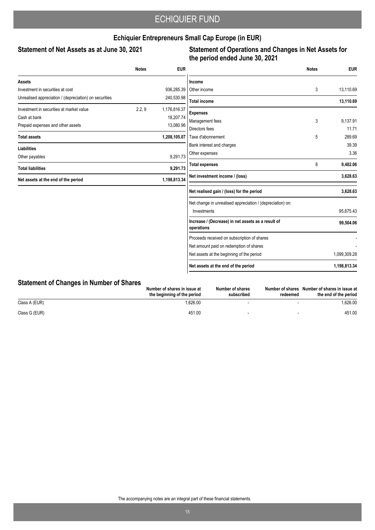## **Echiquier Entrepreneurs Small Cap Europe (in EUR)**

### Statement of Net Assets as at June 30, 2021

## **Statement of Operations and Changes in Net Assets for the period ended June 30, 2021**

| <b>Notes</b> | <b>EUR</b>   |                                                                  | <b>Notes</b>                       | <b>EUR</b>   |
|--------------|--------------|------------------------------------------------------------------|------------------------------------|--------------|
|              |              | Income                                                           |                                    |              |
|              | 936,285.39   | Other income                                                     | 3                                  | 13,110.69    |
|              | 240,530.98   | <b>Total income</b>                                              |                                    | 13,110.69    |
| 2.2, 9       | 1,176,816.37 |                                                                  |                                    |              |
|              | 18,207.74    |                                                                  |                                    | 9,137.91     |
|              | 13,080.96    | Directors fees                                                   |                                    | 11.71        |
|              | 1,208,105.07 | Taxe d'abonnement                                                | 5                                  | 289.69       |
|              |              | Bank interest and charges                                        |                                    | 39.39        |
|              |              | Other expenses                                                   |                                    | 3.36         |
|              |              | <b>Total expenses</b>                                            | 8                                  | 9,482.06     |
|              | 1,198,813.34 | Net investment income / (loss)                                   |                                    | 3,628.63     |
|              |              | Net realised gain / (loss) for the period                        |                                    | 3,628.63     |
|              |              | Net change in unrealised appreciation / (depreciation) on:       |                                    |              |
|              |              | Investments                                                      |                                    | 95,875.43    |
|              |              | Increase / (Decrease) in net assets as a result of<br>operations |                                    | 99,504.06    |
|              |              | Proceeds received on subscription of shares                      |                                    |              |
|              |              | Net amount paid on redemption of shares                          |                                    |              |
|              |              | Net assets at the beginning of the period                        |                                    | 1,099,309.28 |
|              |              | Net assets at the end of the period                              |                                    | 1,198,813.34 |
|              |              | 9,291.73<br>9,291.73                                             | <b>Expenses</b><br>Management fees | 3            |

## **Statement of Changes in Number of Shares**

|               | Number of shares in issue at<br>the beginning of the period | Number of shares<br>subscribed | Number of shares<br>redeemed | Number of shares in issue at<br>the end of the period |
|---------------|-------------------------------------------------------------|--------------------------------|------------------------------|-------------------------------------------------------|
| Class A (EUR) | .626.00                                                     |                                |                              | .626.00                                               |
| Class G (EUR) | 451.00                                                      |                                |                              | 451.00                                                |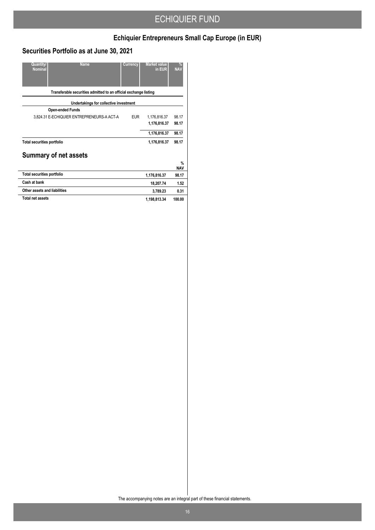# **Echiquier Entrepreneurs Small Cap Europe (in EUR)**

## **Securities Portfolio as at June 30, 2021**

| Quantity/<br><b>Name</b><br><b>Nominal</b>                       | Currency   | <b>Market value</b><br>in EUR | $\frac{9}{6}$<br><b>NAV</b> |
|------------------------------------------------------------------|------------|-------------------------------|-----------------------------|
| Transferable securities admitted to an official exchange listing |            |                               |                             |
| Undertakings for collective investment                           |            |                               |                             |
| <b>Open-ended Funds</b>                                          |            |                               |                             |
| 3,824.31 E-ECHIQUIER ENTREPRENEURS-A ACT-A                       | <b>EUR</b> | 1,176,816.37                  | 98 17                       |
|                                                                  |            | 1,176,816.37                  | 98.17                       |
|                                                                  |            | 1,176,816.37                  | 98.17                       |
| <b>Total securities portfolio</b>                                |            | 1,176,816.37                  | 98.17                       |
| <b>Summary of net assets</b>                                     |            |                               |                             |
|                                                                  |            |                               | $\%$<br><b>NAV</b>          |
| <b>Total securities portfolio</b>                                |            | 1,176,816.37                  | 98.17                       |
| Cash at bank                                                     |            | 18,207.74                     | 1.52                        |
| Other assets and liabilities                                     |            | 3,789.23                      | 0.31                        |
| <b>Total net assets</b>                                          |            | 1,198,813.34                  | 100.00                      |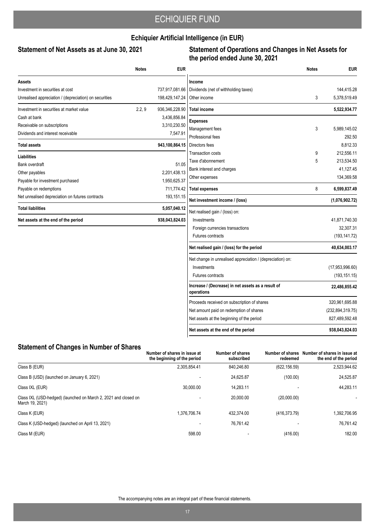## **Echiquier Artificial Intelligence (in EUR)**

### Statement of Net Assets as at June 30, 2021

### **Statement of Operations and Changes in Net Assets for the period ended June 30, 2021**

|                                                        | <b>Notes</b> | <b>EUR</b>     |                                                                  | <b>Notes</b> | <b>EUR</b>         |
|--------------------------------------------------------|--------------|----------------|------------------------------------------------------------------|--------------|--------------------|
| Assets                                                 |              |                | Income                                                           |              |                    |
| Investment in securities at cost                       |              | 737,917,081.66 | Dividends (net of withholding taxes)                             |              | 144.415.28         |
| Unrealised appreciation / (depreciation) on securities |              | 198,429,147.24 | Other income                                                     | 3            | 5,378,519.49       |
| Investment in securities at market value               | 2.2, 9       | 936,346,228.90 | <b>Total income</b>                                              |              | 5,522,934.77       |
| Cash at bank                                           |              | 3,436,856.84   | <b>Expenses</b>                                                  |              |                    |
| Receivable on subscriptions                            |              | 3,310,230.50   | Management fees                                                  | 3            | 5,989,145.02       |
| Dividends and interest receivable                      |              | 7,547.91       | Professional fees                                                |              | 292.50             |
| <b>Total assets</b>                                    |              | 943,100,864.15 | Directors fees                                                   |              | 8,812.33           |
| Liabilities                                            |              |                | <b>Transaction costs</b>                                         | 9            | 212,556.11         |
| Bank overdraft                                         |              | 51.05          | Taxe d'abonnement                                                | 5            | 213,534.50         |
| Other payables                                         |              | 2,201,438.13   | Bank interest and charges                                        |              | 41,127.45          |
| Payable for investment purchased                       |              | 1,950,625.37   | Other expenses                                                   |              | 134,369.58         |
| Payable on redemptions                                 |              | 711,774.42     | <b>Total expenses</b>                                            | 8            | 6,599,837.49       |
| Net unrealised depreciation on futures contracts       |              | 193,151.15     | Net investment income / (loss)                                   |              | (1,076,902.72)     |
| <b>Total liabilities</b>                               |              | 5,057,040.12   | Net realised gain / (loss) on:                                   |              |                    |
| Net assets at the end of the period                    |              | 938,043,824.03 | Investments                                                      |              | 41.871.740.30      |
|                                                        |              |                | Foreign currencies transactions                                  |              | 32,307.31          |
|                                                        |              |                | <b>Futures contracts</b>                                         |              | (193, 141.72)      |
|                                                        |              |                | Net realised gain / (loss) for the period                        |              | 40,634,003.17      |
|                                                        |              |                | Net change in unrealised appreciation / (depreciation) on:       |              |                    |
|                                                        |              |                | Investments                                                      |              | (17, 953, 996.60)  |
|                                                        |              |                | Futures contracts                                                |              | (193, 151.15)      |
|                                                        |              |                | Increase / (Decrease) in net assets as a result of<br>operations |              | 22,486,855.42      |
|                                                        |              |                | Proceeds received on subscription of shares                      |              | 320,961,695.88     |
|                                                        |              |                | Net amount paid on redemption of shares                          |              | (232, 894, 319.75) |
|                                                        |              |                | Net assets at the beginning of the period                        |              | 827,489,592.48     |
|                                                        |              |                | Net assets at the end of the period                              |              | 938.043.824.03     |

### **Statement of Changes in Number of Shares**

|                                                                                    | Number of shares in issue at<br>the beginning of the period | Number of shares<br>subscribed | Number of shares<br>redeemed | Number of shares in issue at<br>the end of the period |
|------------------------------------------------------------------------------------|-------------------------------------------------------------|--------------------------------|------------------------------|-------------------------------------------------------|
| Class B (EUR)                                                                      | 2.305.854.41                                                | 840.246.80                     | (622, 156.59)                | 2,523,944.62                                          |
| Class B (USD) (launched on January 6, 2021)                                        |                                                             | 24.625.87                      | (100.00)                     | 24.525.87                                             |
| Class IXL (EUR)                                                                    | 30,000.00                                                   | 14.283.11                      |                              | 44.283.11                                             |
| Class IXL (USD-hedged) (launched on March 2, 2021 and closed on<br>March 19, 2021) | $\overline{\phantom{a}}$                                    | 20.000.00                      | (20,000.00)                  |                                                       |
| Class K (EUR)                                                                      | .376.706.74                                                 | 432.374.00                     | (416, 373.79)                | 1.392.706.95                                          |
| Class K (USD-hedged) (launched on April 13, 2021)                                  |                                                             | 76.761.42                      |                              | 76.761.42                                             |
| Class M (EUR)                                                                      | 598.00                                                      |                                | (416.00)                     | 182.00                                                |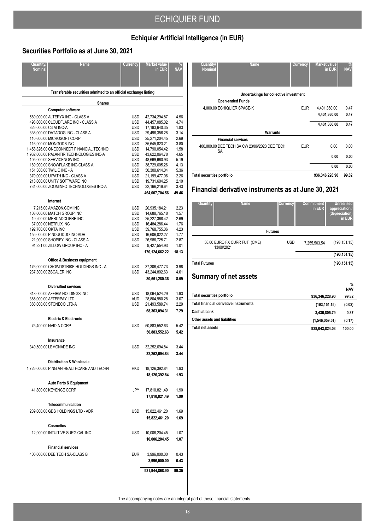# **Echiquier Artificial Intelligence (in EUR)**

## **Securities Portfolio as at June 30, 2021**

| Quantity/<br><b>Nominal</b> | <b>Name</b>                                                             | Currency                 | Market value<br>in EUR         | <b>NA</b>    |  |  |  |  |  |  |
|-----------------------------|-------------------------------------------------------------------------|--------------------------|--------------------------------|--------------|--|--|--|--|--|--|
|                             |                                                                         |                          |                                |              |  |  |  |  |  |  |
|                             | Transferable securities admitted to an official exchange listing        |                          |                                |              |  |  |  |  |  |  |
|                             | <b>Shares</b>                                                           |                          |                                |              |  |  |  |  |  |  |
|                             | <b>Computer software</b>                                                |                          |                                |              |  |  |  |  |  |  |
|                             | 589,000.00 ALTERYX INC - CLASS A<br>498,000.00 CLOUDFLARE INC - CLASS A | USD<br>USD               | 42,734,294.87<br>44,457,085.02 | 4.56<br>4.74 |  |  |  |  |  |  |
|                             | 326,000.00 C3.AI INC-A                                                  | USD                      | 17,193,640.35                  | 1.83         |  |  |  |  |  |  |
|                             | 336,000.00 DATADOG INC - CLASS A                                        | USD                      | 29,496,356.28                  | 3.14         |  |  |  |  |  |  |
|                             | 110,600.00 MICROSOFT CORP                                               | USD                      | 25,271,204.45                  | 2.69         |  |  |  |  |  |  |
|                             | 116,900.00 MONGODB INC<br>1,458,826.00 ONECONNECT FINANCIAL TECHNO      | USD<br>USD               | 35,645,823.21<br>14,790,054.42 | 3.80<br>1.58 |  |  |  |  |  |  |
|                             | 1,962,000.00 PALANTIR TECHNOLOGIES INC-A                                | USD                      | 43,622,064.78                  | 4.65         |  |  |  |  |  |  |
|                             | 105,000.00 SERVICENOW INC                                               | USD                      | 48,669,660.93                  | 5.19         |  |  |  |  |  |  |
|                             | 189,900.00 SNOWFLAKE INC-CLASS A<br>151,300.00 TWILIO INC - A           | USD<br>USD               | 38,729,605.26<br>50,300,614.04 | 4.13<br>5.36 |  |  |  |  |  |  |
|                             | 370,000.00 UIPATH INC - CLASS A                                         | <b>USD</b>               | 21,199,477.06                  | 2.26         |  |  |  |  |  |  |
|                             | 213,000.00 UNITY SOFTWARE INC                                           | <b>USD</b>               | 19,731,604.25                  | 2.10         |  |  |  |  |  |  |
|                             | 731,000.00 ZOOMINFO TECHNOLOGIES INC-A                                  | <b>USD</b>               | 32,166,219.64                  | 3.43         |  |  |  |  |  |  |
|                             |                                                                         |                          | 464,007,704.56                 | 49.46        |  |  |  |  |  |  |
|                             | Internet                                                                |                          |                                |              |  |  |  |  |  |  |
|                             | 7,215.00 AMAZON.COM INC                                                 | USD                      | 20,935,184.21                  | 2.23         |  |  |  |  |  |  |
|                             | 108,000.00 MATCH GROUP INC<br>19,200.00 MERCADOLIBRE INC                | <b>USD</b><br>USD        | 14,688,765.18<br>25,227,368.42 | 1.57<br>2.69 |  |  |  |  |  |  |
|                             | 37,000.00 NETFLIX INC                                                   | USD                      | 16,484,286.44                  | 1.76         |  |  |  |  |  |  |
| 192,700.00 OKTA INC         |                                                                         | <b>USD</b>               | 39,768,755.06                  | 4.23         |  |  |  |  |  |  |
|                             | 155,000.00 PINDUODUO INC-ADR                                            | USD                      | 16,606,022.27                  | 1.77         |  |  |  |  |  |  |
|                             | 21,900.00 SHOPIFY INC - CLASS A<br>91,221.00 ZILLOW GROUP INC - A       | <b>USD</b><br><b>USD</b> | 26,986,725.71<br>9,427,554.93  | 2.87<br>1.01 |  |  |  |  |  |  |
|                             |                                                                         |                          | 170,124,662.22                 | 18.13        |  |  |  |  |  |  |
|                             | <b>Office &amp; Business equipment</b>                                  |                          |                                |              |  |  |  |  |  |  |
|                             | 176,000.00 CROWDSTRIKE HOLDINGS INC - A                                 | <b>USD</b>               | 37,306,477.73                  | 3.98         |  |  |  |  |  |  |
|                             | 237,300.00 ZSCALER INC                                                  | <b>USD</b>               | 43,244,802.63                  | 4.61         |  |  |  |  |  |  |
|                             |                                                                         |                          | 80,551,280.36                  | 8.59         |  |  |  |  |  |  |
|                             | <b>Diversified services</b>                                             |                          |                                |              |  |  |  |  |  |  |
|                             | 318,000.00 AFFIRM HOLDINGS INC                                          | <b>USD</b>               | 18,064,524.29                  | 1.93         |  |  |  |  |  |  |
|                             | 385,000.00 AFTERPAY LTD                                                 | AUD                      | 28,804,980.28                  | 3.07         |  |  |  |  |  |  |
|                             | 380,000.00 STONECO LTD-A                                                | <b>USD</b>               | 21,493,589.74                  | 2.29<br>7.29 |  |  |  |  |  |  |
|                             |                                                                         |                          | 68,363,094.31                  |              |  |  |  |  |  |  |
|                             | <b>Electric &amp; Electronic</b><br>75,400.00 NVIDIA CORP               | <b>USD</b>               |                                | 5.42         |  |  |  |  |  |  |
|                             |                                                                         |                          | 50,883,552.63<br>50,883,552.63 | 5.42         |  |  |  |  |  |  |
|                             |                                                                         |                          |                                |              |  |  |  |  |  |  |
|                             | Insurance<br>349,500.00 LEMONADE INC                                    | <b>USD</b>               | 32,252,694.84                  | 3.44         |  |  |  |  |  |  |
|                             |                                                                         |                          | 32,252,694.84                  | 3.44         |  |  |  |  |  |  |
|                             | <b>Distribution &amp; Wholesale</b>                                     |                          |                                |              |  |  |  |  |  |  |
|                             | 1,726,000.00 PING AN HEALTHCARE AND TECHN                               | HKD                      | 18,126,392.84                  | 1.93         |  |  |  |  |  |  |
|                             |                                                                         |                          | 18,126,392.84                  | 1.93         |  |  |  |  |  |  |
|                             | Auto Parts & Equipment                                                  |                          |                                |              |  |  |  |  |  |  |
|                             | 41,800.00 KEYENCE CORP                                                  | JPY                      | 17,810,821.49                  | 1.90         |  |  |  |  |  |  |
|                             |                                                                         |                          | 17,810,821.49                  | 1.90         |  |  |  |  |  |  |
|                             | Telecommunication                                                       |                          |                                |              |  |  |  |  |  |  |
|                             | 239,000.00 GDS HOLDINGS LTD - ADR                                       | <b>USD</b>               | 15,822,461.20                  | 1.69         |  |  |  |  |  |  |
|                             |                                                                         |                          | 15,822,461.20                  | 1.69         |  |  |  |  |  |  |
|                             | <b>Cosmetics</b>                                                        |                          |                                |              |  |  |  |  |  |  |
|                             | 12,900.00 INTUITIVE SURGICAL INC                                        | <b>USD</b>               | 10,006,204.45                  | 1.07         |  |  |  |  |  |  |
|                             |                                                                         |                          | 10,006,204.45                  | 1.07         |  |  |  |  |  |  |
|                             | <b>Financial services</b>                                               |                          |                                |              |  |  |  |  |  |  |
|                             | 400,000.00 DEE TECH SA-CLASS B                                          | <b>EUR</b>               | 3,996,000.00                   | 0.43         |  |  |  |  |  |  |
|                             |                                                                         |                          | 3,996,000.00                   | 0.43         |  |  |  |  |  |  |
|                             |                                                                         |                          | 931,944,868.90                 | 99.35        |  |  |  |  |  |  |
|                             |                                                                         |                          |                                |              |  |  |  |  |  |  |

| <b>Total securities portfolio</b> |                                                            |            | 936,346,228.90      | 99.82      |
|-----------------------------------|------------------------------------------------------------|------------|---------------------|------------|
|                                   |                                                            |            | 0.00                | 0.00       |
|                                   |                                                            |            | 0.00                | 0.00       |
|                                   | 400,000.00 DEE TECH SA CW 23/06/2023 DEE TECH<br><b>SA</b> | <b>EUR</b> | 0.00                | 0.00       |
|                                   | <b>Financial services</b>                                  |            |                     |            |
|                                   | <b>Warrants</b>                                            |            |                     |            |
|                                   |                                                            |            | 4,401,360.00        | 0.47       |
|                                   |                                                            |            | 4,401,360.00        | 0.47       |
|                                   | 4,000.00 ECHIQUIER SPACE-K                                 | <b>EUR</b> | 4,401,360.00        | 0.47       |
|                                   | <b>Open-ended Funds</b>                                    |            |                     |            |
|                                   | Undertakings for collective investment                     |            |                     |            |
| <b>Nominal</b>                    |                                                            |            | in EUR              | <b>NAV</b> |
| <b>Quantity/</b>                  | <b>Name</b>                                                | Currency   | <b>Market value</b> | %          |

## **Financial derivative instruments as at June 30, 2021**

| <b>Quantity</b>      | <b>Name</b>                  | Currency       | <b>Commitment</b><br>in EUR | <b>Unrealised</b><br>appreciation /<br>(depreciation)<br>in EUR |
|----------------------|------------------------------|----------------|-----------------------------|-----------------------------------------------------------------|
|                      |                              | <b>Futures</b> |                             |                                                                 |
| 13/09/2021           | 58.00 EURO FX CURR FUT (CME) | <b>USD</b>     | 7.255.503.54                | (193, 151.15)                                                   |
|                      |                              |                |                             | (193, 151.15)                                                   |
| <b>Total Futures</b> |                              |                |                             | (193, 151.15)                                                   |

# **Summary of net assets**

|                                        |                | <b>NAV</b> |
|----------------------------------------|----------------|------------|
| Total securities portfolio             | 936,346,228.90 | 99.82      |
| Total financial derivative instruments | (193, 151.15)  | (0.02)     |
| Cash at bank                           | 3.436.805.79   | 0.37       |
| Other assets and liabilities           | (1,546,059.51) | (0.17)     |
| Total net assets                       | 938.043.824.03 | 100.00     |

**%**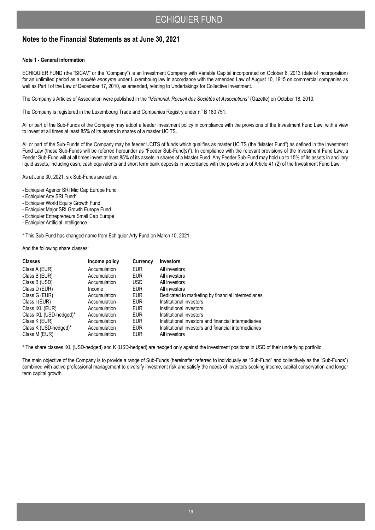### **Notes to the Financial Statements as at June 30, 2021**

#### **Note 1 - General information**

ECHIQUIER FUND (the "SICAV" or the "Company") is an Investment Company with Variable Capital incorporated on October 8, 2013 (date of incorporation) for an unlimited period as a *société anonyme* under Luxembourg law in accordance with the amended Law of August 10, 1915 on commercial companies as well as Part I of the Law of December 17, 2010, as amended, relating to Undertakings for Collective Investment.

The Company's Articles of Association were published in the "*Mémorial, Recueil des Sociétés et Associations"* (Gazette) on October 18, 2013.

The Company is registered in the Luxembourg Trade and Companies Registry under n° B 180 751.

All or part of the Sub-Funds of the Company may adopt a feeder investment policy in compliance with the provisions of the Investment Fund Law, with a view to invest at all times at least 85% of its assets in shares of a master UCITS.

All or part of the Sub-Funds of the Company may be feeder UCITS of funds which qualifies as master UCITS (the "Master Fund") as defined in the Investment Fund Law (these Sub-Funds will be referred hereunder as "Feeder Sub-Fund(s)"). In compliance with the relevant provisions of the Investment Fund Law, a Feeder Sub-Fund will at all times invest at least 85% of its assets in shares of a Master Fund. Any Feeder Sub-Fund may hold up to 15% of its assets in ancillary liquid assets, including cash, cash equivalents and short term bank deposits in accordance with the provisions of Article 41 (2) of the Investment Fund Law.

As at June 30, 2021, six Sub-Funds are active.

- Echiquier Agenor SRI Mid Cap Europe Fund
- Echiquier Arty SRI Fund\*
- Echiquier World Equity Growth Fund
- Echiquier Major SRI Growth Europe Fund
- Echiquier Entrepreneurs Small Cap Europe
- Echiquier Artificial Intelligence

\* This Sub-Fund has changed name from Echiquier Arty Fund on March 10, 2021.

And the following share classes:

| <b>Classes</b>          | Income policy | Currency   | <b>Investors</b>                                     |
|-------------------------|---------------|------------|------------------------------------------------------|
| Class A (EUR)           | Accumulation  | <b>EUR</b> | All investors                                        |
| Class B (EUR)           | Accumulation  | <b>EUR</b> | All investors                                        |
| Class B (USD)           | Accumulation  | USD        | All investors                                        |
| Class D (EUR)           | Income        | <b>EUR</b> | All investors                                        |
| Class G (EUR)           | Accumulation  | <b>EUR</b> | Dedicated to marketing by financial intermediaries   |
| Class I (EUR)           | Accumulation  | <b>EUR</b> | Institutional investors                              |
| Class IXL (EUR)         | Accumulation  | <b>EUR</b> | Institutional investors                              |
| Class IXL (USD-hedged)* | Accumulation  | <b>EUR</b> | Institutional investors                              |
| Class K (EUR)           | Accumulation  | <b>EUR</b> | Institutional investors and financial intermediaries |
| Class K (USD-hedged)*   | Accumulation  | <b>EUR</b> | Institutional investors and financial intermediaries |
| Class M (EUR)           | Accumulation  | <b>EUR</b> | All investors                                        |

\* The share classes IXL (USD-hedged) and K (USD-hedged) are hedged only against the investment positions in USD of their underlying portfolio.

The main objective of the Company is to provide a range of Sub-Funds (hereinafter referred to individually as "Sub-Fund" and collectively as the "Sub-Funds") combined with active professional management to diversify investment risk and satisfy the needs of investors seeking income, capital conservation and longer term capital growth.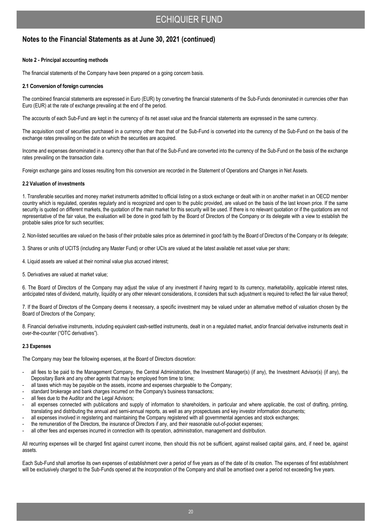## **Notes to the Financial Statements as at June 30, 2021 (continued)**

#### **Note 2 - Principal accounting methods**

The financial statements of the Company have been prepared on a going concern basis.

#### **2.1 Conversion of foreign currencies**

The combined financial statements are expressed in Euro (EUR) by converting the financial statements of the Sub-Funds denominated in currencies other than Euro (EUR) at the rate of exchange prevailing at the end of the period.

The accounts of each Sub-Fund are kept in the currency of its net asset value and the financial statements are expressed in the same currency.

The acquisition cost of securities purchased in a currency other than that of the Sub-Fund is converted into the currency of the Sub-Fund on the basis of the exchange rates prevailing on the date on which the securities are acquired.

Income and expenses denominated in a currency other than that of the Sub-Fund are converted into the currency of the Sub-Fund on the basis of the exchange rates prevailing on the transaction date.

Foreign exchange gains and losses resulting from this conversion are recorded in the Statement of Operations and Changes in Net Assets.

#### **2.2 Valuation of investments**

1. Transferable securities and money market instruments admitted to official listing on a stock exchange or dealt with in on another market in an OECD member country which is regulated, operates regularly and is recognized and open to the public provided, are valued on the basis of the last known price. If the same security is quoted on different markets, the quotation of the main market for this security will be used. If there is no relevant quotation or if the quotations are not representative of the fair value, the evaluation will be done in good faith by the Board of Directors of the Company or its delegate with a view to establish the probable sales price for such securities;

2. Non-listed securities are valued on the basis of their probable sales price as determined in good faith by the Board of Directors of the Company or its delegate;

3. Shares or units of UCITS (including any Master Fund) or other UCIs are valued at the latest available net asset value per share;

- 4. Liquid assets are valued at their nominal value plus accrued interest;
- 5. Derivatives are valued at market value;

6. The Board of Directors of the Company may adjust the value of any investment if having regard to its currency, marketability, applicable interest rates, anticipated rates of dividend, maturity, liquidity or any other relevant considerations, it considers that such adjustment is required to reflect the fair value thereof;

7. If the Board of Directors of the Company deems it necessary, a specific investment may be valued under an alternative method of valuation chosen by the Board of Directors of the Company;

8. Financial derivative instruments, including equivalent cash-settled instruments, dealt in on a regulated market, and/or financial derivative instruments dealt in over-the-counter ("OTC derivatives").

#### **2.3 Expenses**

The Company may bear the following expenses, at the Board of Directors discretion:

- all fees to be paid to the Management Company, the Central Administration, the Investment Manager(s) (if any), the Investment Advisor(s) (if any), the Depositary Bank and any other agents that may be employed from time to time;
- all taxes which may be payable on the assets, income and expenses chargeable to the Company;
- standard brokerage and bank charges incurred on the Company's business transactions;
- all fees due to the Auditor and the Legal Advisors;
- all expenses connected with publications and supply of information to shareholders, in particular and where applicable, the cost of drafting, printing, translating and distributing the annual and semi-annual reports, as well as any prospectuses and key investor information documents;
- all expenses involved in registering and maintaining the Company registered with all governmental agencies and stock exchanges;
- the remuneration of the Directors, the insurance of Directors if any, and their reasonable out-of-pocket expenses;
- all other fees and expenses incurred in connection with its operation, administration, management and distribution.

All recurring expenses will be charged first against current income, then should this not be sufficient, against realised capital gains, and, if need be, against assets.

Each Sub-Fund shall amortise its own expenses of establishment over a period of five years as of the date of its creation. The expenses of first establishment will be exclusively charged to the Sub-Funds opened at the incorporation of the Company and shall be amortised over a period not exceeding five years.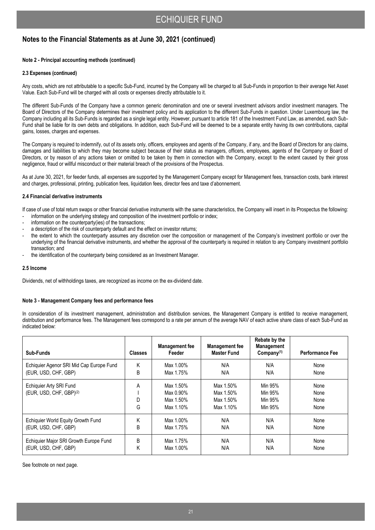## **Notes to the Financial Statements as at June 30, 2021 (continued)**

#### **Note 2 - Principal accounting methods (continued)**

#### **2.3 Expenses (continued)**

Any costs, which are not attributable to a specific Sub-Fund, incurred by the Company will be charged to all Sub-Funds in proportion to their average Net Asset Value. Each Sub-Fund will be charged with all costs or expenses directly attributable to it.

The different Sub-Funds of the Company have a common generic denomination and one or several investment advisors and/or investment managers. The Board of Directors of the Company determines their investment policy and its application to the different Sub-Funds in question. Under Luxembourg law, the Company including all its Sub-Funds is regarded as a single legal entity. However, pursuant to article 181 of the Investment Fund Law, as amended, each Sub-Fund shall be liable for its own debts and obligations. In addition, each Sub-Fund will be deemed to be a separate entity having its own contributions, capital gains, losses, charges and expenses.

The Company is required to indemnify, out of its assets only, officers, employees and agents of the Company, if any, and the Board of Directors for any claims, damages and liabilities to which they may become subject because of their status as managers, officers, employees, agents of the Company or Board of Directors, or by reason of any actions taken or omitted to be taken by them in connection with the Company, except to the extent caused by their gross negligence, fraud or willful misconduct or their material breach of the provisions of the Prospectus.

As at June 30, 2021, for feeder funds, all expenses are supported by the Management Company except for Management fees, transaction costs, bank interest and charges, professional, printing, publication fees, liquidation fees, director fees and taxe d'abonnement.

#### **2.4 Financial derivative instruments**

If case of use of total return swaps or other financial derivative instruments with the same characteristics, the Company will insert in its Prospectus the following:

- information on the underlying strategy and composition of the investment portfolio or index;
- information on the counterparty(ies) of the transactions;
- a description of the risk of counterparty default and the effect on investor returns;
- the extent to which the counterparty assumes any discretion over the composition or management of the Company's investment portfolio or over the underlying of the financial derivative instruments, and whether the approval of the counterparty is required in relation to any Company investment portfolio transaction; and
- the identification of the counterparty being considered as an Investment Manager.

#### **2.5 Income**

Dividends, net of withholdings taxes, are recognized as income on the ex-dividend date.

#### **Note 3 - Management Company fees and performance fees**

In consideration of its investment management, administration and distribution services, the Management Company is entitled to receive management, distribution and performance fees. The Management fees correspond to a rate per annum of the average NAV of each active share class of each Sub-Fund as indicated below:

| Sub-Funds                                                      | <b>Classes</b> | <b>Management fee</b><br>Feeder                  | <b>Management fee</b><br><b>Master Fund</b>      | Rebate by the<br><b>Management</b><br>Company <sup>(1)</sup> | <b>Performance Fee</b>       |
|----------------------------------------------------------------|----------------|--------------------------------------------------|--------------------------------------------------|--------------------------------------------------------------|------------------------------|
| Echiquier Agenor SRI Mid Cap Europe Fund                       | Κ              | Max 1.00%                                        | N/A                                              | N/A                                                          | None                         |
| (EUR, USD, CHF, GBP)                                           | B              | Max 1.75%                                        | N/A                                              | N/A                                                          | None                         |
| Echiquier Arty SRI Fund<br>(EUR, USD, CHF, GBP) <sup>(2)</sup> | Α<br>D<br>G    | Max 1.50%<br>Max 0.90%<br>Max 1.50%<br>Max 1.10% | Max 1.50%<br>Max 1.50%<br>Max 1.50%<br>Max 1.10% | Min 95%<br>Min 95%<br>Min 95%<br>Min 95%                     | None<br>None<br>None<br>None |
| Echiquier World Equity Growth Fund                             | Κ              | Max 1.00%                                        | N/A                                              | N/A                                                          | None                         |
| (EUR, USD, CHF, GBP)                                           | B              | Max 1.75%                                        | N/A                                              | N/A                                                          | None                         |
| Echiquier Major SRI Growth Europe Fund                         | B              | Max 1.75%                                        | N/A                                              | N/A                                                          | None                         |
| (EUR, USD, CHF, GBP)                                           | Κ              | Max 1.00%                                        | N/A                                              | N/A                                                          | None                         |

See footnote on next page.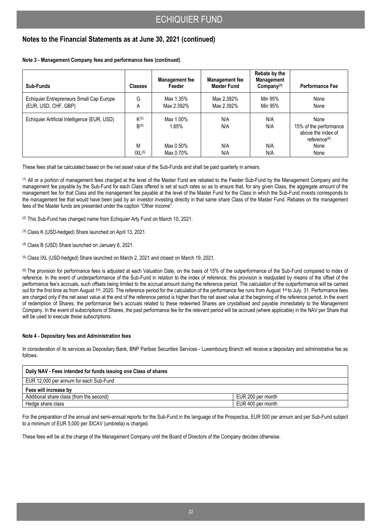## **Notes to the Financial Statements as at June 30, 2021 (continued)**

**Note 3 - Management Company fees and performance fees (continued)**

| Sub-Funds                                    | <b>Classes</b>                | <b>Management fee</b><br>Feeder | <b>Management fee</b><br><b>Master Fund</b> | Rebate by the<br>Management<br>Company $(1)$ | <b>Performance Fee</b>                                                           |
|----------------------------------------------|-------------------------------|---------------------------------|---------------------------------------------|----------------------------------------------|----------------------------------------------------------------------------------|
| Echiquier Entrepreneurs Small Cap Europe     | G                             | Max 1.35%                       | Max 2.392%                                  | Min 95%                                      | None                                                                             |
| (EUR, USD, CHF, GBP)                         | Α                             | Max 2.392%                      | Max 2.392%                                  | Min 95%                                      | None                                                                             |
| Echiquier Artificial Intelligence (EUR, USD) | $K^{(3)}$<br>B <sup>(4)</sup> | Max 1.00%<br>1.65%              | N/A<br>N/A                                  | N/A<br>N/A                                   | None<br>15% of the performance<br>above the index of<br>reference <sup>(6)</sup> |
|                                              | M                             | Max 0.50%                       | N/A                                         | N/A                                          | None                                                                             |
|                                              | IXL <sup>(5)</sup>            | Max 0.70%                       | N/A                                         | N/A                                          | None                                                                             |

These fees shall be calculated based on the net asset value of the Sub-Funds and shall be paid quarterly in arrears.

(1) All or a portion of management fees charged at the level of the Master Fund are rebated to the Feeder Sub-Fund by the Management Company and the management fee payable by the Sub-Fund for each Class offered is set at such rates so as to ensure that, for any given Class, the aggregate amount of the management fee for that Class and the management fee payable at the level of the Master Fund for the Class in which the Sub-Fund invests corresponds to the management fee that would have been paid by an investor investing directly in that same share Class of the Master Fund. Rebates on the management fees of the Master funds are presented under the caption "Other income".

(2) This Sub-Fund has changed name from Echiquier Arty Fund on March 10, 2021.

(3) Class K (USD-hedged) Share launched on April 13, 2021.

(4) Class B (USD) Share launched on January 6, 2021.

(5) Class IXL (USD-hedged) Share launched on March 2, 2021 and closed on March 19, 2021.

(6) The provision for performance fees is adjusted at each Valuation Date, on the basis of 15% of the outperformance of the Sub-Fund compared to index of reference. In the event of underperformance of the Sub-Fund in relation to the index of reference, this provision is readjusted by means of the offset of the performance fee's accruals, such offsets being limited to the accrual amount during the reference period. The calculation of the outperformance will be carried out for the first time as from August 1st, 2020. The reference period for the calculation of the performance fee runs from August 1st to July, 31. Performance fees are charged only if the net asset value at the end of the reference period is higher than the net asset value at the beginning of the reference period. In the event of redemption of Shares, the performance fee's accruals related to these redeemed Shares are crystallised and payable immediately to the Management Company. In the event of subscriptions of Shares, the past performance fee for the relevant period will be accrued (where applicable) in the NAV per Share that will be used to execute these subscriptions.

#### **Note 4 - Depositary fees and Administration fees**

In consideration of its services as Depositary Bank, BNP Paribas Securities Services - Luxembourg Branch will receive a depositary and administrative fee as follows.

| Daily NAV - Fees intended for funds issuing one Class of shares |                   |
|-----------------------------------------------------------------|-------------------|
| EUR 12,000 per annum for each Sub-Fund                          |                   |
| Fees will increase by                                           |                   |
| Additional share class (from the second)                        | EUR 200 per month |
| Hedge share class                                               | EUR 400 per month |

For the preparation of the annual and semi-annual reports for the Sub-Fund in the language of the Prospectus, EUR 500 per annum and per Sub-Fund subject to a minimum of EUR 5,000 per SICAV (umbrella) is charged.

These fees will be at the charge of the Management Company until the Board of Directors of the Company decides otherwise.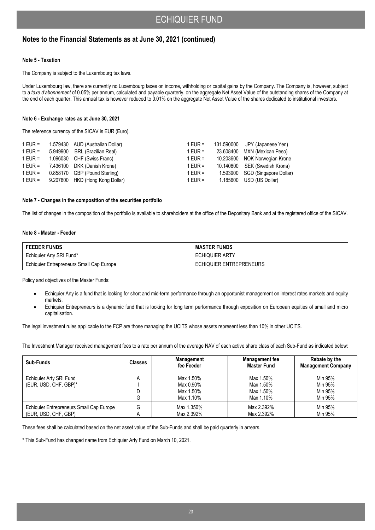## **Notes to the Financial Statements as at June 30, 2021 (continued)**

#### **Note 5 - Taxation**

The Company is subject to the Luxembourg tax laws.

Under Luxembourg law, there are currently no Luxembourg taxes on income, withholding or capital gains by the Company. The Company is, however, subject to a *taxe d'abonnement* of 0.05% per annum, calculated and payable quarterly, on the aggregate Net Asset Value of the outstanding shares of the Company at the end of each quarter. This annual tax is however reduced to 0.01% on the aggregate Net Asset Value of the shares dedicated to institutional investors.

#### **Note 6 - Exchange rates as at June 30, 2021**

The reference currency of the SICAV is EUR (Euro).

|         | 1 EUR =                                                                                                                                                                                            | 131.590000 JPY (Japanese Yen)   |
|---------|----------------------------------------------------------------------------------------------------------------------------------------------------------------------------------------------------|---------------------------------|
|         | 1 EUR =                                                                                                                                                                                            | 23.608400 MXN (Mexican Peso)    |
|         | 1 EUR =                                                                                                                                                                                            | 10.203600 NOK Norwegian Krone   |
|         | 1 EUR =                                                                                                                                                                                            | 10.140600 SEK (Swedish Krona)   |
|         | 1 EUR =                                                                                                                                                                                            | 1.593900 SGD (Singapore Dollar) |
|         | 1 EUR =                                                                                                                                                                                            | 1.185600 USD (US Dollar)        |
| 1 EUR = | 1.579430 AUD (Australian Dollar)<br>5.949900 BRL (Brazilian Real)<br>1.096030 CHF (Swiss Franc)<br>7.436100 DKK (Danish Krone)<br>0.858170 GBP (Pound Sterling)<br>9.207800 HKD (Hong Kong Dollar) |                                 |

#### **Note 7 - Changes in the composition of the securities portfolio**

The list of changes in the composition of the portfolio is available to shareholders at the office of the Depositary Bank and at the registered office of the SICAV.

#### **Note 8 - Master - Feeder**

| <b>FEEDER FUNDS</b>                      | <b>MASTER FUNDS</b>     |
|------------------------------------------|-------------------------|
| Echiquier Arty SRI Fund*                 | <b>ECHIQUIER ARTY</b>   |
| Echiquier Entrepreneurs Small Cap Europe | ECHIQUIER ENTREPRENEURS |

Policy and objectives of the Master Funds:

- Echiquier Arty is a fund that is looking for short and mid-term performance through an opportunist management on interest rates markets and equity markets.
- Echiquier Entrepreneurs is a dynamic fund that is looking for long term performance through exposition on European equities of small and micro capitalisation.

The legal investment rules applicable to the FCP are those managing the UCITS whose assets represent less than 10% in other UCITS.

The Investment Manager received management fees to a rate per annum of the average NAV of each active share class of each Sub-Fund as indicated below:

| Sub-Funds                                | <b>Classes</b> | <b>Management</b><br>fee Feeder | <b>Management fee</b><br><b>Master Fund</b> | Rebate by the<br><b>Management Company</b> |
|------------------------------------------|----------------|---------------------------------|---------------------------------------------|--------------------------------------------|
| Echiquier Arty SRI Fund                  | А              | Max 1.50%                       | Max 1.50%                                   | Min 95%                                    |
| (EUR, USD, CHF, GBP)*                    |                | Max 0.90%                       | Max 1.50%                                   | Min 95%                                    |
|                                          |                | Max 1.50%                       | Max 1.50%                                   | Min 95%                                    |
|                                          | G              | Max 1.10%                       | Max 1.10%                                   | Min 95%                                    |
| Echiquier Entrepreneurs Small Cap Europe | G              | Max 1.350%                      | Max 2.392%                                  | Min 95%                                    |
| (EUR, USD, CHF, GBP)                     |                | Max 2.392%                      | Max 2.392%                                  | Min 95%                                    |

These fees shall be calculated based on the net asset value of the Sub-Funds and shall be paid quarterly in arrears.

\* This Sub-Fund has changed name from Echiquier Arty Fund on March 10, 2021.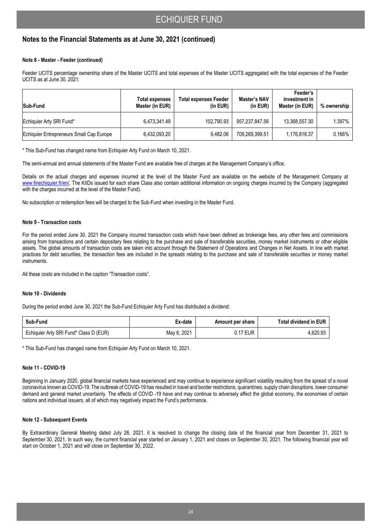## **Notes to the Financial Statements as at June 30, 2021 (continued)**

#### **Note 8 - Master - Feeder (continued)**

Feeder UCITS percentage ownership share of the Master UCITS and total expenses of the Master UCITS aggregated with the total expenses of the Feeder UCITS as at June 30, 2021:

| Sub-Fund                                 | Total expenses<br>Master (in EUR) | <b>Total expenses Feeder</b><br>(in EUR) | Master's NAV<br>(in EUR) | Feeder's<br>investment in<br>Master (in EUR) | % ownership |
|------------------------------------------|-----------------------------------|------------------------------------------|--------------------------|----------------------------------------------|-------------|
| Echiquier Arty SRI Fund*                 | 6.473.341.49                      | 102.790.93                               | 957.237.847.56           | 13,368,557.30                                | 1.397%      |
| Echiquier Entrepreneurs Small Cap Europe | 6,432,093.20                      | 9.482.06                                 | 709.269.399.51           | 1,176,816.37                                 | $0.166\%$   |

\* This Sub-Fund has changed name from Echiquier Arty Fund on March 10, 2021.

The semi-annual and annual statements of the Master Fund are available free of charges at the Management Company's office.

Details on the actual charges and expenses incurred at the level of the Master Fund are available on the website of the Management Company at www.finechiquier.fr/en/. The KIIDs issued for each share Class also contain additional information on ongoing charges incurred by the Company (aggregated with the charges incurred at the level of the Master Fund).

No subscription or redemption fees will be charged to the Sub-Fund when investing in the Master Fund.

#### **Note 9 - Transaction costs**

For the period ended June 30, 2021 the Company incurred transaction costs which have been defined as brokerage fees, any other fees and commissions arising from transactions and certain depositary fees relating to the purchase and sale of transferable securities, money market instruments or other eligible assets. The global amounts of transaction costs are taken into account through the Statement of Operations and Changes in Net Assets. In line with market practices for debt securities, the transaction fees are included in the spreads relating to the purchase and sale of transferable securities or money market instruments.

All these costs are included in the caption "Transaction costs".

#### **Note 10 - Dividends**

During the period ended June 30, 2021 the Sub-Fund Echiquier Arty Fund has distributed a dividend:

| Sub-Fund                               | Ex-date     | Amount per share | Total dividend in EUR |
|----------------------------------------|-------------|------------------|-----------------------|
| Echiquier Arty SRI Fund* Class D (EUR) | May 6, 2021 | 0.17 EUR         | 4.620.93              |

\* This Sub-Fund has changed name from Echiquier Arty Fund on March 10, 2021.

#### **Note 11 - COVID-19**

Beginning in January 2020, global financial markets have experienced and may continue to experience significant volatility resulting from the spread of a novel coronavirus known as COVID-19. The outbreak of COVID-19 has resulted in travel and border restrictions, quarantines, supply chain disruptions, lower consumer demand and general market uncertainly. The effects of COVID -19 have and may continue to adversely affect the global economy, the economies of certain nations and individual issuers, all of which may negatively impact the Fund's performance.

#### **Note 12 - Subsequent Events**

By Extraordinary General Meeting dated July 26, 2021, it is resolved to change the closing date of the financial year from December 31, 2021 to September 30, 2021. In such way, the current financial year started on January 1, 2021 and closes on September 30, 2021. The following financial year will start on October 1, 2021 and will close on September 30, 2022.